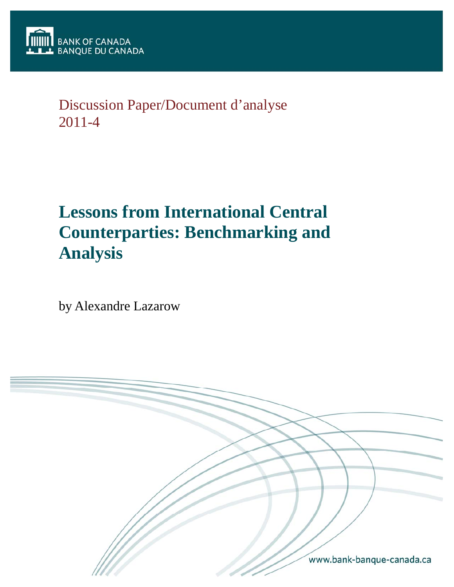

## Discussion Paper/Document d'analyse 2011-4

# **Lessons from International Central Counterparties: Benchmarking and Analysis**

by Alexandre Lazarow

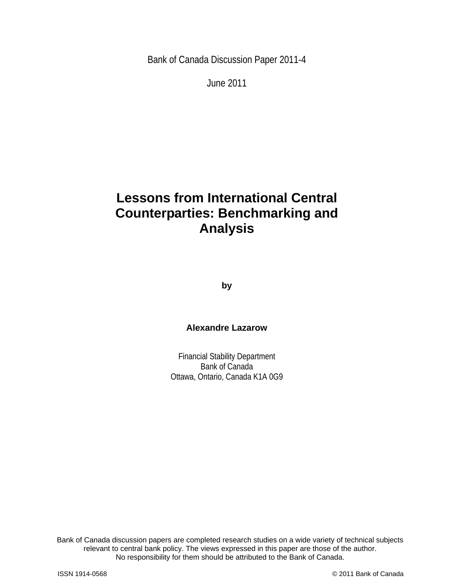Bank of Canada Discussion Paper 2011-4

June 2011

## **Lessons from International Central Counterparties: Benchmarking and Analysis**

**by** 

## **Alexandre Lazarow**

Financial Stability Department Bank of Canada Ottawa, Ontario, Canada K1A 0G9

No responsibility for them should be attributed to the Bank of Canada. Bank of Canada discussion papers are completed research studies on a wide variety of technical subjects relevant to central bank policy. The views expressed in this paper are those of the author.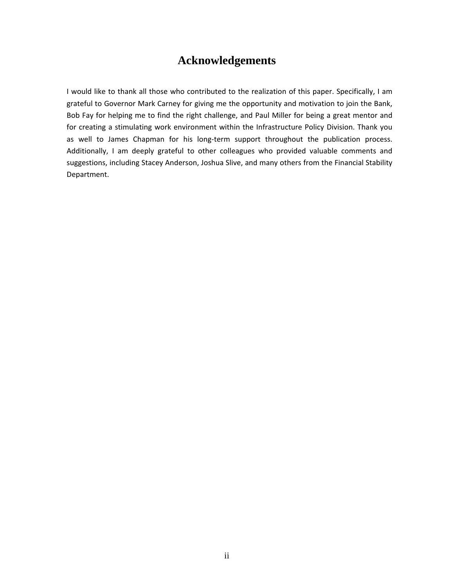## **Acknowledgements**

I would like to thank all those who contributed to the realization of this paper. Specifically, I am grateful to Governor Mark Carney for giving me the opportunity and motivation to join the Bank, Bob Fay for helping me to find the right challenge, and Paul Miller for being a great mentor and for creating a stimulating work environment within the Infrastructure Policy Division. Thank you as well to James Chapman for his long-term support throughout the publication process. Additionally, I am deeply grateful to other colleagues who provided valuable comments and suggestions, including Stacey Anderson, Joshua Slive, and many others from the Financial Stability Department.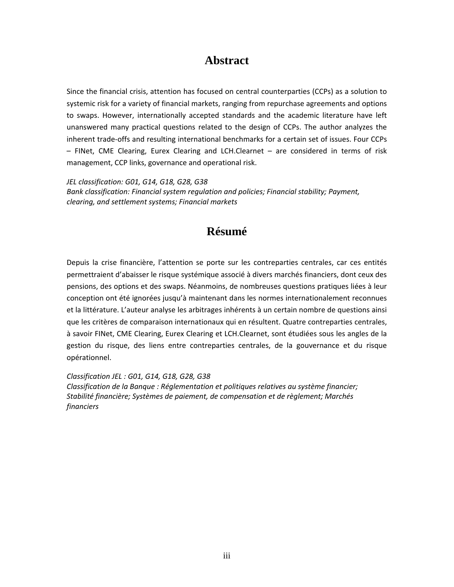## **Abstract**

Since the financial crisis, attention has focused on central counterparties (CCPs) as a solution to systemic risk for a variety of financial markets, ranging from repurchase agreements and options to swaps. However, internationally accepted standards and the academic literature have left unanswered many practical questions related to the design of CCPs. The author analyzes the inherent trade‐offs and resulting international benchmarks for a certain set of issues. Four CCPs – FINet, CME Clearing, Eurex Clearing and LCH.Clearnet – are considered in terms of risk management, CCP links, governance and operational risk.

*JEL classification: G01, G14, G18, G28, G38 Bank classification: Financial system regulation and policies; Financial stability; Payment, clearing, and settlement systems; Financial markets*

## **Résumé**

Depuis la crise financière, l'attention se porte sur les contreparties centrales, car ces entités permettraient d'abaisser le risque systémique associé à divers marchés financiers, dont ceux des pensions, des options et des swaps. Néanmoins, de nombreuses questions pratiques liées à leur conception ont été ignorées jusqu'à maintenant dans les normes internationalement reconnues et la littérature. L'auteur analyse les arbitrages inhérents à un certain nombre de questions ainsi que les critères de comparaison internationaux qui en résultent. Quatre contreparties centrales, à savoir FINet, CME Clearing, Eurex Clearing et LCH.Clearnet, sont étudiées sous les angles de la gestion du risque, des liens entre contreparties centrales, de la gouvernance et du risque opérationnel.

*Classification JEL : G01, G14, G18, G28, G38 Classification de la Banque : Réglementation et politiques relatives au système financier; Stabilité financière; Systèmes de paiement, de compensation et de règlement; Marchés financiers*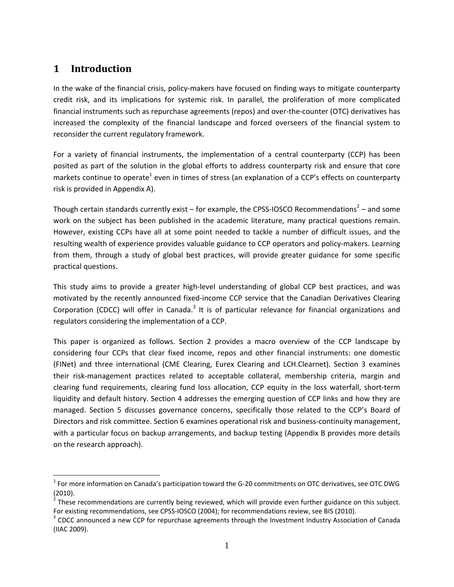## **1 Introduction**

In the wake of the financial crisis, policy‐makers have focused on finding ways to mitigate counterparty credit risk, and its implications for systemic risk. In parallel, the proliferation of more complicated financial instruments such as repurchase agreements (repos) and over-the-counter (OTC) derivatives has increased the complexity of the financial landscape and forced overseers of the financial system to reconsider the current regulatory framework.

For a variety of financial instruments, the implementation of a central counterparty (CCP) has been posited as part of the solution in the global efforts to address counterparty risk and ensure that core markets continue to operate<sup>1</sup> even in times of stress (an explanation of a CCP's effects on counterparty risk is provided in Appendix A).

Though certain standards currently exist – for example, the CPSS-IOSCO Recommendations<sup>2</sup> – and some work on the subject has been published in the academic literature, many practical questions remain. However, existing CCPs have all at some point needed to tackle a number of difficult issues, and the resulting wealth of experience provides valuable guidance to CCP operators and policy-makers. Learning from them, through a study of global best practices, will provide greater guidance for some specific practical questions.

This study aims to provide a greater high‐level understanding of global CCP best practices, and was motivated by the recently announced fixed-income CCP service that the Canadian Derivatives Clearing Corporation (CDCC) will offer in Canada.<sup>3</sup> It is of particular relevance for financial organizations and regulators considering the implementation of a CCP.

This paper is organized as follows. Section 2 provides a macro overview of the CCP landscape by considering four CCPs that clear fixed income, repos and other financial instruments: one domestic (FINet) and three international (CME Clearing, Eurex Clearing and LCH.Clearnet). Section 3 examines their risk‐management practices related to acceptable collateral, membership criteria, margin and clearing fund requirements, clearing fund loss allocation, CCP equity in the loss waterfall, short-term liquidity and default history. Section 4 addresses the emerging question of CCP links and how they are managed. Section 5 discusses governance concerns, specifically those related to the CCP's Board of Directors and risk committee. Section 6 examines operational risk and business-continuity management, with a particular focus on backup arrangements, and backup testing (Appendix B provides more details on the research approach).

 $<sup>1</sup>$  For more information on Canada's participation toward the G-20 commitments on OTC derivatives, see OTC DWG</sup> (2010).

 $<sup>2</sup>$  These recommendations are currently being reviewed, which will provide even further guidance on this subject.</sup>

For existing recommendations, see CPSS-IOSCO (2004); for recommendations review, see BIS (2010).<br>
<sup>3</sup> CDCC announced a new CCP for repurchase agreements through the Investment Industry Association of Canada (IIAC 2009).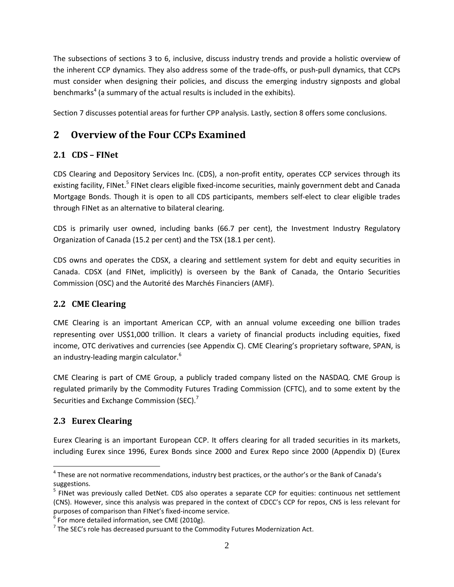The subsections of sections 3 to 6, inclusive, discuss industry trends and provide a holistic overview of the inherent CCP dynamics. They also address some of the trade-offs, or push-pull dynamics, that CCPs must consider when designing their policies, and discuss the emerging industry signposts and global benchmarks<sup>4</sup> (a summary of the actual results is included in the exhibits).

Section 7 discusses potential areas for further CPP analysis. Lastly, section 8 offers some conclusions.

## **2 Overview of the Four CCPs Examined**

## **2.1 CDS – FINet**

CDS Clearing and Depository Services Inc. (CDS), a non‐profit entity, operates CCP services through its existing facility, FINet.<sup>5</sup> FINet clears eligible fixed-income securities, mainly government debt and Canada Mortgage Bonds. Though it is open to all CDS participants, members self‐elect to clear eligible trades through FINet as an alternative to bilateral clearing.

CDS is primarily user owned, including banks (66.7 per cent), the Investment Industry Regulatory Organization of Canada (15.2 per cent) and the TSX (18.1 per cent).

CDS owns and operates the CDSX, a clearing and settlement system for debt and equity securities in Canada. CDSX (and FINet, implicitly) is overseen by the Bank of Canada, the Ontario Securities Commission (OSC) and the Autorité des Marchés Financiers (AMF).

## **2.2 CME Clearing**

CME Clearing is an important American CCP, with an annual volume exceeding one billion trades representing over US\$1,000 trillion. It clears a variety of financial products including equities, fixed income, OTC derivatives and currencies (see Appendix C). CME Clearing's proprietary software, SPAN, is an industry-leading margin calculator. $^6$ 

CME Clearing is part of CME Group, a publicly traded company listed on the NASDAQ. CME Group is regulated primarily by the Commodity Futures Trading Commission (CFTC), and to some extent by the Securities and Exchange Commission (SEC).<sup>7</sup>

## **2.3 Eurex Clearing**

Eurex Clearing is an important European CCP. It offers clearing for all traded securities in its markets, including Eurex since 1996, Eurex Bonds since 2000 and Eurex Repo since 2000 (Appendix D) (Eurex

 <sup>4</sup> These are not normative recommendations, industry best practices, or the author's or the Bank of Canada's suggestions.

<sup>&</sup>lt;sup>5</sup> FINet was previously called DetNet. CDS also operates a separate CCP for equities: continuous net settlement (CNS). However, since this analysis was prepared in the context of CDCC's CCP for repos, CNS is less relevant for purposes of comparison than FINet's fixed-income service.<br><sup>6</sup> For more detailed information, see CME (2010g). <sup>7</sup> The SEC's role has decreased pursuant to the Commodity Futures Modernization Act.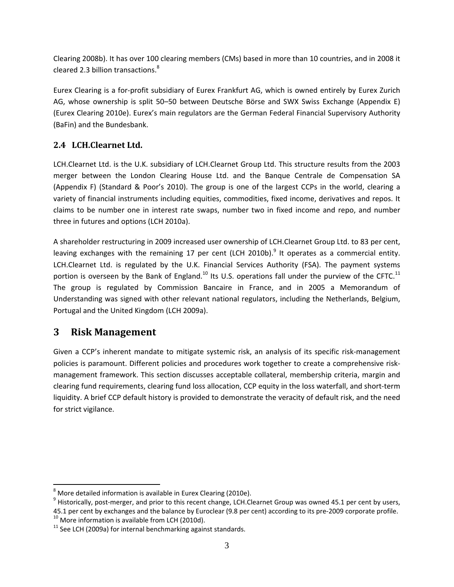Clearing 2008b). It has over 100 clearing members (CMs) based in more than 10 countries, and in 2008 it cleared 2.3 billion transactions. $8<sup>8</sup>$ 

Eurex Clearing is a for‐profit subsidiary of Eurex Frankfurt AG, which is owned entirely by Eurex Zurich AG, whose ownership is split 50–50 between Deutsche Börse and SWX Swiss Exchange (Appendix E) (Eurex Clearing 2010e). Eurex's main regulators are the German Federal Financial Supervisory Authority (BaFin) and the Bundesbank.

## **2.4 LCH.Clearnet Ltd.**

LCH.Clearnet Ltd. is the U.K. subsidiary of LCH.Clearnet Group Ltd. This structure results from the 2003 merger between the London Clearing House Ltd. and the Banque Centrale de Compensation SA (Appendix F) (Standard & Poor's 2010). The group is one of the largest CCPs in the world, clearing a variety of financial instruments including equities, commodities, fixed income, derivatives and repos. It claims to be number one in interest rate swaps, number two in fixed income and repo, and number three in futures and options (LCH 2010a).

A shareholder restructuring in 2009 increased user ownership of LCH.Clearnet Group Ltd. to 83 per cent, leaving exchanges with the remaining 17 per cent (LCH 2010b).<sup>9</sup> It operates as a commercial entity. LCH.Clearnet Ltd. is regulated by the U.K. Financial Services Authority (FSA). The payment systems portion is overseen by the Bank of England.<sup>10</sup> Its U.S. operations fall under the purview of the CFTC.<sup>11</sup> The group is regulated by Commission Bancaire in France, and in 2005 a Memorandum of Understanding was signed with other relevant national regulators, including the Netherlands, Belgium, Portugal and the United Kingdom (LCH 2009a).

## **3 Risk Management**

Given a CCP's inherent mandate to mitigate systemic risk, an analysis of its specific risk-management policies is paramount. Different policies and procedures work together to create a comprehensive risk‐ management framework. This section discusses acceptable collateral, membership criteria, margin and clearing fund requirements, clearing fund loss allocation, CCP equity in the loss waterfall, and short‐term liquidity. A brief CCP default history is provided to demonstrate the veracity of default risk, and the need for strict vigilance.

<sup>&</sup>lt;sup>8</sup> More detailed information is available in Eurex Clearing (2010e).<br><sup>9</sup> Historically, post-merger, and prior to this recent change, LCH.Clearnet Group was owned 45.1 per cent by users, 45.1 per cent by exchanges and the balance by Euroclear (9.8 per cent) according to its pre-2009 corporate profile.<br><sup>10</sup> More information is available from LCH (2010d).<br><sup>11</sup> See LCH (2009a) for internal benchmarking agains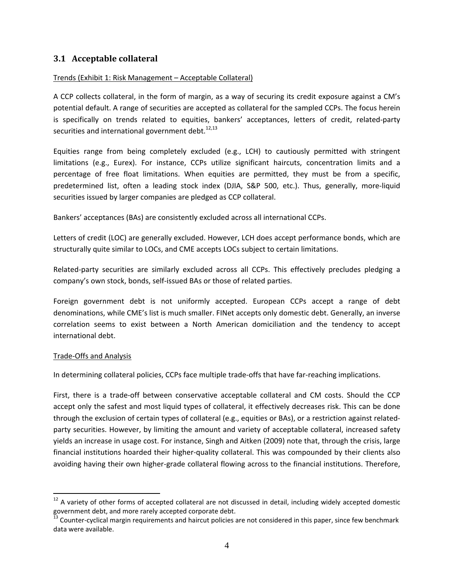#### **3.1 Acceptable collateral**

#### Trends (Exhibit 1: Risk Management – Acceptable Collateral)

A CCP collects collateral, in the form of margin, as a way of securing its credit exposure against a CM's potential default. A range of securities are accepted as collateral for the sampled CCPs. The focus herein is specifically on trends related to equities, bankers' acceptances, letters of credit, related‐party securities and international government debt. $^{12,13}$ 

Equities range from being completely excluded (e.g., LCH) to cautiously permitted with stringent limitations (e.g., Eurex). For instance, CCPs utilize significant haircuts, concentration limits and a percentage of free float limitations. When equities are permitted, they must be from a specific, predetermined list, often a leading stock index (DJIA, S&P 500, etc.). Thus, generally, more-liquid securities issued by larger companies are pledged as CCP collateral.

Bankers' acceptances (BAs) are consistently excluded across all international CCPs.

Letters of credit (LOC) are generally excluded. However, LCH does accept performance bonds, which are structurally quite similar to LOCs, and CME accepts LOCs subject to certain limitations.

Related‐party securities are similarly excluded across all CCPs. This effectively precludes pledging a company's own stock, bonds, self‐issued BAs or those of related parties.

Foreign government debt is not uniformly accepted. European CCPs accept a range of debt denominations, while CME's list is much smaller. FINet accepts only domestic debt. Generally, an inverse correlation seems to exist between a North American domiciliation and the tendency to accept international debt.

#### Trade‐Offs and Analysis

In determining collateral policies, CCPs face multiple trade-offs that have far-reaching implications.

First, there is a trade‐off between conservative acceptable collateral and CM costs. Should the CCP accept only the safest and most liquid types of collateral, it effectively decreases risk. This can be done through the exclusion of certain types of collateral (e.g., equities or BAs), or a restriction against related‐ party securities. However, by limiting the amount and variety of acceptable collateral, increased safety yields an increase in usage cost. For instance, Singh and Aitken (2009) note that, through the crisis, large financial institutions hoarded their higher-quality collateral. This was compounded by their clients also avoiding having their own higher‐grade collateral flowing across to the financial institutions. Therefore,

 $12$  A variety of other forms of accepted collateral are not discussed in detail, including widely accepted domestic government debt, and more rarely accepted corporate debt.<br>
<sup>13</sup> Counter-cyclical margin requirements and haircut policies are not considered in this paper, since few benchmark

data were available.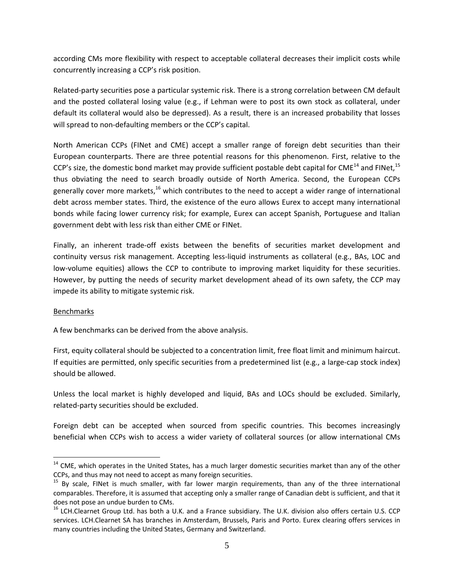according CMs more flexibility with respect to acceptable collateral decreases their implicit costs while concurrently increasing a CCP's risk position.

Related‐party securities pose a particular systemic risk. There is a strong correlation between CM default and the posted collateral losing value (e.g., if Lehman were to post its own stock as collateral, under default its collateral would also be depressed). As a result, there is an increased probability that losses will spread to non-defaulting members or the CCP's capital.

North American CCPs (FINet and CME) accept a smaller range of foreign debt securities than their European counterparts. There are three potential reasons for this phenomenon. First, relative to the CCP's size, the domestic bond market may provide sufficient postable debt capital for CME<sup>14</sup> and FINet,<sup>15</sup> thus obviating the need to search broadly outside of North America. Second, the European CCPs generally cover more markets, $^{16}$  which contributes to the need to accept a wider range of international debt across member states. Third, the existence of the euro allows Eurex to accept many international bonds while facing lower currency risk; for example, Eurex can accept Spanish, Portuguese and Italian government debt with less risk than either CME or FINet.

Finally, an inherent trade-off exists between the benefits of securities market development and continuity versus risk management. Accepting less-liquid instruments as collateral (e.g., BAs, LOC and low-volume equities) allows the CCP to contribute to improving market liquidity for these securities. However, by putting the needs of security market development ahead of its own safety, the CCP may impede its ability to mitigate systemic risk.

#### Benchmarks

A few benchmarks can be derived from the above analysis.

First, equity collateral should be subjected to a concentration limit, free float limit and minimum haircut. If equities are permitted, only specific securities from a predetermined list (e.g., a large‐cap stock index) should be allowed.

Unless the local market is highly developed and liquid, BAs and LOCs should be excluded. Similarly, related‐party securities should be excluded.

Foreign debt can be accepted when sourced from specific countries. This becomes increasingly beneficial when CCPs wish to access a wider variety of collateral sources (or allow international CMs

 $14$  CME, which operates in the United States, has a much larger domestic securities market than any of the other

CCPs, and thus may not need to accept as many foreign securities.<br><sup>15</sup> By scale, FINet is much smaller, with far lower margin requirements, than any of the three international comparables. Therefore, it is assumed that accepting only a smaller range of Canadian debt is sufficient, and that it does not pose an undue burden to CMs.<br><sup>16</sup> LCH.Clearnet Group Ltd. has both a U.K. and a France subsidiary. The U.K. division also offers certain U.S. CCP

services. LCH.Clearnet SA has branches in Amsterdam, Brussels, Paris and Porto. Eurex clearing offers services in many countries including the United States, Germany and Switzerland.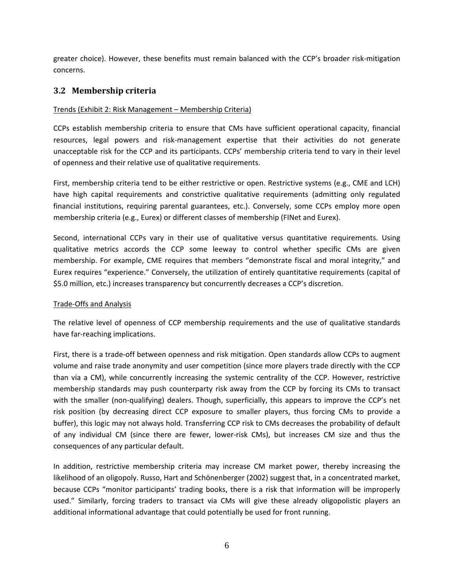greater choice). However, these benefits must remain balanced with the CCP's broader risk‐mitigation concerns.

#### **3.2 Membership criteria**

#### Trends (Exhibit 2: Risk Management – Membership Criteria)

CCPs establish membership criteria to ensure that CMs have sufficient operational capacity, financial resources, legal powers and risk‐management expertise that their activities do not generate unacceptable risk for the CCP and its participants. CCPs' membership criteria tend to vary in their level of openness and their relative use of qualitative requirements.

First, membership criteria tend to be either restrictive or open. Restrictive systems (e.g., CME and LCH) have high capital requirements and constrictive qualitative requirements (admitting only regulated financial institutions, requiring parental guarantees, etc.). Conversely, some CCPs employ more open membership criteria (e.g., Eurex) or different classes of membership (FINet and Eurex).

Second, international CCPs vary in their use of qualitative versus quantitative requirements. Using qualitative metrics accords the CCP some leeway to control whether specific CMs are given membership. For example, CME requires that members "demonstrate fiscal and moral integrity," and Eurex requires "experience." Conversely, the utilization of entirely quantitative requirements (capital of \$5.0 million, etc.) increases transparency but concurrently decreases a CCP's discretion.

#### Trade‐Offs and Analysis

The relative level of openness of CCP membership requirements and the use of qualitative standards have far-reaching implications.

First, there is a trade-off between openness and risk mitigation. Open standards allow CCPs to augment volume and raise trade anonymity and user competition (since more players trade directly with the CCP than via a CM), while concurrently increasing the systemic centrality of the CCP. However, restrictive membership standards may push counterparty risk away from the CCP by forcing its CMs to transact with the smaller (non-qualifying) dealers. Though, superficially, this appears to improve the CCP's net risk position (by decreasing direct CCP exposure to smaller players, thus forcing CMs to provide a buffer), this logic may not always hold. Transferring CCP risk to CMs decreases the probability of default of any individual CM (since there are fewer, lower‐risk CMs), but increases CM size and thus the consequences of any particular default.

In addition, restrictive membership criteria may increase CM market power, thereby increasing the likelihood of an oligopoly. Russo, Hart and Schönenberger (2002) suggest that, in a concentrated market, because CCPs "monitor participants' trading books, there is a risk that information will be improperly used." Similarly, forcing traders to transact via CMs will give these already oligopolistic players an additional informational advantage that could potentially be used for front running.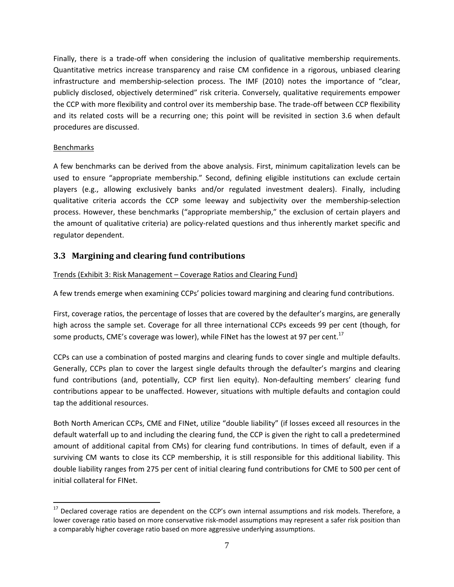Finally, there is a trade-off when considering the inclusion of qualitative membership requirements. Quantitative metrics increase transparency and raise CM confidence in a rigorous, unbiased clearing infrastructure and membership-selection process. The IMF (2010) notes the importance of "clear, publicly disclosed, objectively determined" risk criteria. Conversely, qualitative requirements empower the CCP with more flexibility and control over its membership base. The trade-off between CCP flexibility and its related costs will be a recurring one; this point will be revisited in section 3.6 when default procedures are discussed.

#### Benchmarks

A few benchmarks can be derived from the above analysis. First, minimum capitalization levels can be used to ensure "appropriate membership." Second, defining eligible institutions can exclude certain players (e.g., allowing exclusively banks and/or regulated investment dealers). Finally, including qualitative criteria accords the CCP some leeway and subjectivity over the membership‐selection process. However, these benchmarks ("appropriate membership," the exclusion of certain players and the amount of qualitative criteria) are policy-related questions and thus inherently market specific and regulator dependent.

#### **3.3 Margining and clearing fund contributions**

#### Trends (Exhibit 3: Risk Management – Coverage Ratios and Clearing Fund)

A few trends emerge when examining CCPs' policies toward margining and clearing fund contributions.

First, coverage ratios, the percentage of losses that are covered by the defaulter's margins, are generally high across the sample set. Coverage for all three international CCPs exceeds 99 per cent (though, for some products, CME's coverage was lower), while FINet has the lowest at 97 per cent.<sup>17</sup>

CCPs can use a combination of posted margins and clearing funds to cover single and multiple defaults. Generally, CCPs plan to cover the largest single defaults through the defaulter's margins and clearing fund contributions (and, potentially, CCP first lien equity). Non-defaulting members' clearing fund contributions appear to be unaffected. However, situations with multiple defaults and contagion could tap the additional resources.

Both North American CCPs, CME and FINet, utilize "double liability" (if losses exceed all resources in the default waterfall up to and including the clearing fund, the CCP is given the right to call a predetermined amount of additional capital from CMs) for clearing fund contributions. In times of default, even if a surviving CM wants to close its CCP membership, it is still responsible for this additional liability. This double liability ranges from 275 per cent of initial clearing fund contributions for CME to 500 per cent of initial collateral for FINet.

 $^{17}$  Declared coverage ratios are dependent on the CCP's own internal assumptions and risk models. Therefore, a lower coverage ratio based on more conservative risk-model assumptions may represent a safer risk position than a comparably higher coverage ratio based on more aggressive underlying assumptions.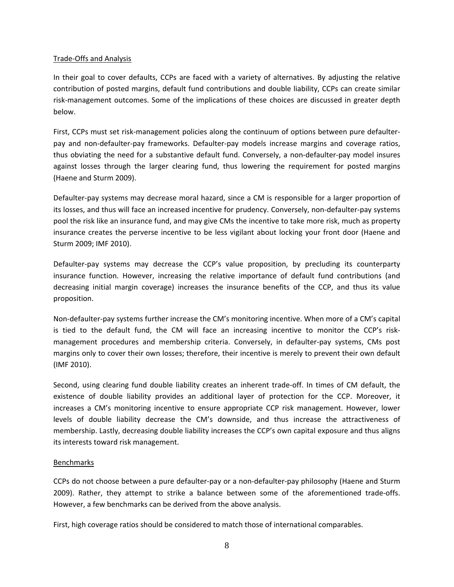#### Trade‐Offs and Analysis

In their goal to cover defaults, CCPs are faced with a variety of alternatives. By adjusting the relative contribution of posted margins, default fund contributions and double liability, CCPs can create similar risk‐management outcomes. Some of the implications of these choices are discussed in greater depth below.

First, CCPs must set risk-management policies along the continuum of options between pure defaulterpay and non‐defaulter‐pay frameworks. Defaulter‐pay models increase margins and coverage ratios, thus obviating the need for a substantive default fund. Conversely, a non‐defaulter‐pay model insures against losses through the larger clearing fund, thus lowering the requirement for posted margins (Haene and Sturm 2009).

Defaulter-pay systems may decrease moral hazard, since a CM is responsible for a larger proportion of its losses, and thus will face an increased incentive for prudency. Conversely, non‐defaulter‐pay systems pool the risk like an insurance fund, and may give CMs the incentive to take more risk, much as property insurance creates the perverse incentive to be less vigilant about locking your front door (Haene and Sturm 2009; IMF 2010).

Defaulter-pay systems may decrease the CCP's value proposition, by precluding its counterparty insurance function. However, increasing the relative importance of default fund contributions (and decreasing initial margin coverage) increases the insurance benefits of the CCP, and thus its value proposition.

Non-defaulter-pay systems further increase the CM's monitoring incentive. When more of a CM's capital is tied to the default fund, the CM will face an increasing incentive to monitor the CCP's risk‐ management procedures and membership criteria. Conversely, in defaulter-pay systems, CMs post margins only to cover their own losses; therefore, their incentive is merely to prevent their own default (IMF 2010).

Second, using clearing fund double liability creates an inherent trade‐off. In times of CM default, the existence of double liability provides an additional layer of protection for the CCP. Moreover, it increases a CM's monitoring incentive to ensure appropriate CCP risk management. However, lower levels of double liability decrease the CM's downside, and thus increase the attractiveness of membership. Lastly, decreasing double liability increases the CCP's own capital exposure and thus aligns its interests toward risk management.

#### Benchmarks

CCPs do not choose between a pure defaulter‐pay or a non‐defaulter‐pay philosophy (Haene and Sturm 2009). Rather, they attempt to strike a balance between some of the aforementioned trade-offs. However, a few benchmarks can be derived from the above analysis.

First, high coverage ratios should be considered to match those of international comparables.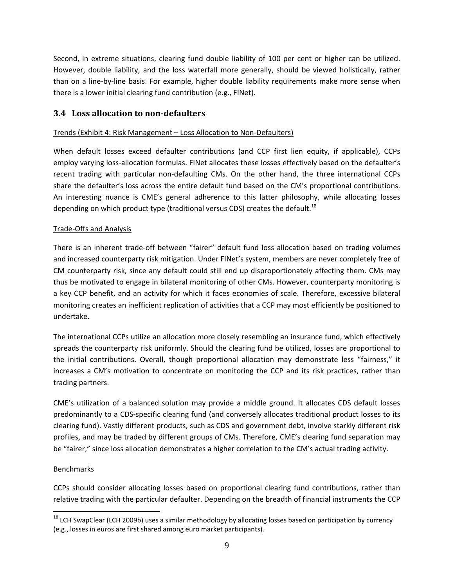Second, in extreme situations, clearing fund double liability of 100 per cent or higher can be utilized. However, double liability, and the loss waterfall more generally, should be viewed holistically, rather than on a line‐by‐line basis. For example, higher double liability requirements make more sense when there is a lower initial clearing fund contribution (e.g., FINet).

#### **3.4 Loss allocation to nondefaulters**

#### Trends (Exhibit 4: Risk Management – Loss Allocation to Non‐Defaulters)

When default losses exceed defaulter contributions (and CCP first lien equity, if applicable), CCPs employ varying loss-allocation formulas. FINet allocates these losses effectively based on the defaulter's recent trading with particular non‐defaulting CMs. On the other hand, the three international CCPs share the defaulter's loss across the entire default fund based on the CM's proportional contributions. An interesting nuance is CME's general adherence to this latter philosophy, while allocating losses depending on which product type (traditional versus CDS) creates the default.<sup>18</sup>

#### Trade‐Offs and Analysis

There is an inherent trade‐off between "fairer" default fund loss allocation based on trading volumes and increased counterparty risk mitigation. Under FINet's system, members are never completely free of CM counterparty risk, since any default could still end up disproportionately affecting them. CMs may thus be motivated to engage in bilateral monitoring of other CMs. However, counterparty monitoring is a key CCP benefit, and an activity for which it faces economies of scale. Therefore, excessive bilateral monitoring creates an inefficient replication of activities that a CCP may most efficiently be positioned to undertake.

The international CCPs utilize an allocation more closely resembling an insurance fund, which effectively spreads the counterparty risk uniformly. Should the clearing fund be utilized, losses are proportional to the initial contributions. Overall, though proportional allocation may demonstrate less "fairness," it increases a CM's motivation to concentrate on monitoring the CCP and its risk practices, rather than trading partners.

CME's utilization of a balanced solution may provide a middle ground. It allocates CDS default losses predominantly to a CDS‐specific clearing fund (and conversely allocates traditional product losses to its clearing fund). Vastly different products, such as CDS and government debt, involve starkly different risk profiles, and may be traded by different groups of CMs. Therefore, CME's clearing fund separation may be "fairer," since loss allocation demonstrates a higher correlation to the CM's actual trading activity.

#### Benchmarks

CCPs should consider allocating losses based on proportional clearing fund contributions, rather than relative trading with the particular defaulter. Depending on the breadth of financial instruments the CCP

 <sup>18</sup> LCH SwapClear (LCH 2009b) uses a similar methodology by allocating losses based on participation by currency (e.g., losses in euros are first shared among euro market participants).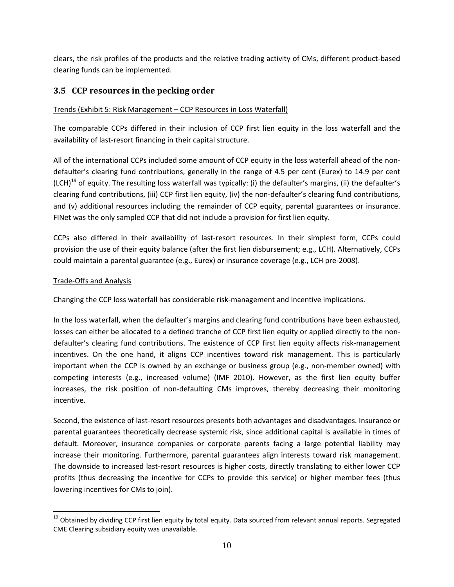clears, the risk profiles of the products and the relative trading activity of CMs, different product‐based clearing funds can be implemented.

### **3.5 CCP resources in the pecking order**

#### Trends (Exhibit 5: Risk Management – CCP Resources in Loss Waterfall)

The comparable CCPs differed in their inclusion of CCP first lien equity in the loss waterfall and the availability of last‐resort financing in their capital structure.

All of the international CCPs included some amount of CCP equity in the loss waterfall ahead of the non‐ defaulter's clearing fund contributions, generally in the range of 4.5 per cent (Eurex) to 14.9 per cent (LCH)<sup>19</sup> of equity. The resulting loss waterfall was typically: (i) the defaulter's margins, (ii) the defaulter's clearing fund contributions, (iii) CCP first lien equity, (iv) the non‐defaulter's clearing fund contributions, and (v) additional resources including the remainder of CCP equity, parental guarantees or insurance. FINet was the only sampled CCP that did not include a provision for first lien equity.

CCPs also differed in their availability of last‐resort resources. In their simplest form, CCPs could provision the use of their equity balance (after the first lien disbursement; e.g., LCH). Alternatively, CCPs could maintain a parental guarantee (e.g., Eurex) or insurance coverage (e.g., LCH pre‐2008).

#### Trade‐Offs and Analysis

Changing the CCP loss waterfall has considerable risk‐management and incentive implications.

In the loss waterfall, when the defaulter's margins and clearing fund contributions have been exhausted, losses can either be allocated to a defined tranche of CCP first lien equity or applied directly to the nondefaulter's clearing fund contributions. The existence of CCP first lien equity affects risk-management incentives. On the one hand, it aligns CCP incentives toward risk management. This is particularly important when the CCP is owned by an exchange or business group (e.g., non-member owned) with competing interests (e.g., increased volume) (IMF 2010). However, as the first lien equity buffer increases, the risk position of non-defaulting CMs improves, thereby decreasing their monitoring incentive.

Second, the existence of last‐resort resources presents both advantages and disadvantages. Insurance or parental guarantees theoretically decrease systemic risk, since additional capital is available in times of default. Moreover, insurance companies or corporate parents facing a large potential liability may increase their monitoring. Furthermore, parental guarantees align interests toward risk management. The downside to increased last‐resort resources is higher costs, directly translating to either lower CCP profits (thus decreasing the incentive for CCPs to provide this service) or higher member fees (thus lowering incentives for CMs to join).

 <sup>19</sup> Obtained by dividing CCP first lien equity by total equity. Data sourced from relevant annual reports. Segregated CME Clearing subsidiary equity was unavailable.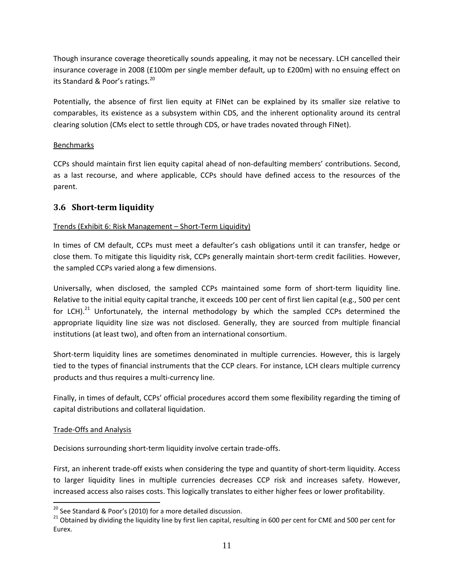Though insurance coverage theoretically sounds appealing, it may not be necessary. LCH cancelled their insurance coverage in 2008 (£100m per single member default, up to £200m) with no ensuing effect on its Standard & Poor's ratings.<sup>20</sup>

Potentially, the absence of first lien equity at FINet can be explained by its smaller size relative to comparables, its existence as a subsystem within CDS, and the inherent optionality around its central clearing solution (CMs elect to settle through CDS, or have trades novated through FINet).

#### Benchmarks

CCPs should maintain first lien equity capital ahead of non‐defaulting members' contributions. Second, as a last recourse, and where applicable, CCPs should have defined access to the resources of the parent.

#### **3.6 Shortterm liquidity**

#### Trends (Exhibit 6: Risk Management – Short‐Term Liquidity)

In times of CM default, CCPs must meet a defaulter's cash obligations until it can transfer, hedge or close them. To mitigate this liquidity risk, CCPs generally maintain short-term credit facilities. However, the sampled CCPs varied along a few dimensions.

Universally, when disclosed, the sampled CCPs maintained some form of short‐term liquidity line. Relative to the initial equity capital tranche, it exceeds 100 per cent of first lien capital (e.g., 500 per cent for LCH). $^{21}$  Unfortunately, the internal methodology by which the sampled CCPs determined the appropriate liquidity line size was not disclosed. Generally, they are sourced from multiple financial institutions (at least two), and often from an international consortium.

Short-term liquidity lines are sometimes denominated in multiple currencies. However, this is largely tied to the types of financial instruments that the CCP clears. For instance, LCH clears multiple currency products and thus requires a multi‐currency line.

Finally, in times of default, CCPs' official procedures accord them some flexibility regarding the timing of capital distributions and collateral liquidation.

#### Trade‐Offs and Analysis

Decisions surrounding short‐term liquidity involve certain trade‐offs.

First, an inherent trade-off exists when considering the type and quantity of short-term liquidity. Access to larger liquidity lines in multiple currencies decreases CCP risk and increases safety. However, increased access also raises costs. This logically translates to either higher fees or lower profitability.

<sup>&</sup>lt;sup>20</sup> See Standard & Poor's (2010) for a more detailed discussion.

<sup>&</sup>lt;sup>21</sup> Obtained by dividing the liquidity line by first lien capital, resulting in 600 per cent for CME and 500 per cent for Eurex.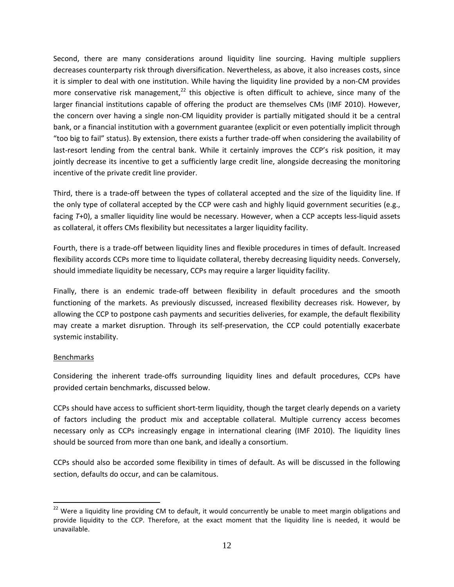Second, there are many considerations around liquidity line sourcing. Having multiple suppliers decreases counterparty risk through diversification. Nevertheless, as above, it also increases costs, since it is simpler to deal with one institution. While having the liquidity line provided by a non‐CM provides more conservative risk management,<sup>22</sup> this objective is often difficult to achieve, since many of the larger financial institutions capable of offering the product are themselves CMs (IMF 2010). However, the concern over having a single non-CM liquidity provider is partially mitigated should it be a central bank, or a financial institution with a government guarantee (explicit or even potentially implicit through "too big to fail" status). By extension, there exists a further trade‐off when considering the availability of last-resort lending from the central bank. While it certainly improves the CCP's risk position, it may jointly decrease its incentive to get a sufficiently large credit line, alongside decreasing the monitoring incentive of the private credit line provider.

Third, there is a trade‐off between the types of collateral accepted and the size of the liquidity line. If the only type of collateral accepted by the CCP were cash and highly liquid government securities (e.g., facing *T*+0), a smaller liquidity line would be necessary. However, when a CCP accepts less-liquid assets as collateral, it offers CMs flexibility but necessitates a larger liquidity facility.

Fourth, there is a trade‐off between liquidity lines and flexible procedures in times of default. Increased flexibility accords CCPs more time to liquidate collateral, thereby decreasing liquidity needs. Conversely, should immediate liquidity be necessary, CCPs may require a larger liquidity facility.

Finally, there is an endemic trade-off between flexibility in default procedures and the smooth functioning of the markets. As previously discussed, increased flexibility decreases risk. However, by allowing the CCP to postpone cash payments and securities deliveries, for example, the default flexibility may create a market disruption. Through its self-preservation, the CCP could potentially exacerbate systemic instability.

#### Benchmarks

Considering the inherent trade‐offs surrounding liquidity lines and default procedures, CCPs have provided certain benchmarks, discussed below.

CCPs should have access to sufficient short-term liquidity, though the target clearly depends on a variety of factors including the product mix and acceptable collateral. Multiple currency access becomes necessary only as CCPs increasingly engage in international clearing (IMF 2010). The liquidity lines should be sourced from more than one bank, and ideally a consortium.

CCPs should also be accorded some flexibility in times of default. As will be discussed in the following section, defaults do occur, and can be calamitous.

  $^{22}$  Were a liquidity line providing CM to default, it would concurrently be unable to meet margin obligations and provide liquidity to the CCP. Therefore, at the exact moment that the liquidity line is needed, it would be unavailable.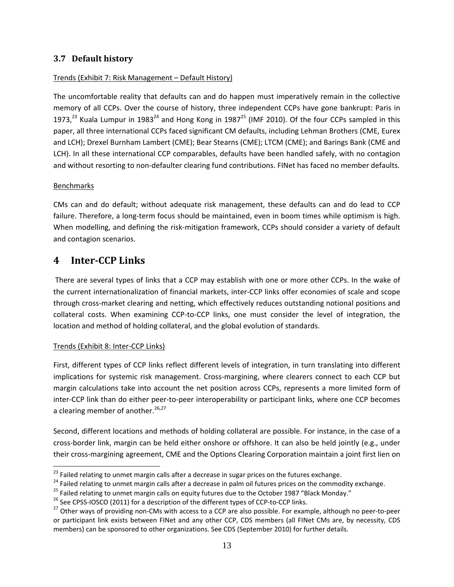#### **3.7 Default history**

#### Trends (Exhibit 7: Risk Management – Default History)

The uncomfortable reality that defaults can and do happen must imperatively remain in the collective memory of all CCPs. Over the course of history, three independent CCPs have gone bankrupt: Paris in 1973.<sup>23</sup> Kuala Lumpur in 1983<sup>24</sup> and Hong Kong in 1987<sup>25</sup> (IMF 2010). Of the four CCPs sampled in this paper, all three international CCPs faced significant CM defaults, including Lehman Brothers (CME, Eurex and LCH); Drexel Burnham Lambert (CME); Bear Stearns (CME); LTCM (CME); and Barings Bank (CME and LCH). In all these international CCP comparables, defaults have been handled safely, with no contagion and without resorting to non-defaulter clearing fund contributions. FINet has faced no member defaults.

#### Benchmarks

CMs can and do default; without adequate risk management, these defaults can and do lead to CCP failure. Therefore, a long-term focus should be maintained, even in boom times while optimism is high. When modelling, and defining the risk-mitigation framework, CCPs should consider a variety of default and contagion scenarios.

## **4 InterCCP Links**

There are several types of links that a CCP may establish with one or more other CCPs. In the wake of the current internationalization of financial markets, inter‐CCP links offer economies of scale and scope through cross‐market clearing and netting, which effectively reduces outstanding notional positions and collateral costs. When examining CCP‐to‐CCP links, one must consider the level of integration, the location and method of holding collateral, and the global evolution of standards.

#### Trends (Exhibit 8: Inter‐CCP Links)

First, different types of CCP links reflect different levels of integration, in turn translating into different implications for systemic risk management. Cross-margining, where clearers connect to each CCP but margin calculations take into account the net position across CCPs, represents a more limited form of inter-CCP link than do either peer-to-peer interoperability or participant links, where one CCP becomes a clearing member of another.  $26,27$ 

Second, different locations and methods of holding collateral are possible. For instance, in the case of a cross‐border link, margin can be held either onshore or offshore. It can also be held jointly (e.g., under their cross‐margining agreement, CME and the Options Clearing Corporation maintain a joint first lien on

<sup>&</sup>lt;sup>23</sup> Failed relating to unmet margin calls after a decrease in sugar prices on the futures exchange.

<sup>&</sup>lt;sup>24</sup> Failed relating to unmet margin calls after a decrease in palm oil futures prices on the commodity exchange.<br><sup>25</sup> Failed relating to unmet margin calls on equity futures due to the October 1987 "Black Monday."<br><sup>26</sup> S or participant link exists between FINet and any other CCP, CDS members (all FINet CMs are, by necessity, CDS members) can be sponsored to other organizations. See CDS (September 2010) for further details.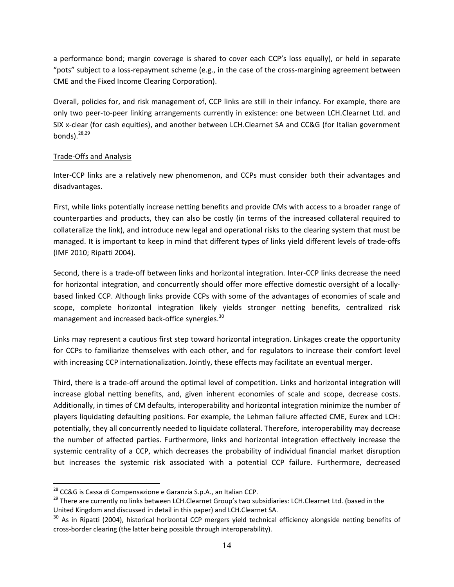a performance bond; margin coverage is shared to cover each CCP's loss equally), or held in separate "pots" subject to a loss‐repayment scheme (e.g., in the case of the cross‐margining agreement between CME and the Fixed Income Clearing Corporation).

Overall, policies for, and risk management of, CCP links are still in their infancy. For example, there are only two peer‐to‐peer linking arrangements currently in existence: one between LCH.Clearnet Ltd. and SIX x-clear (for cash equities), and another between LCH.Clearnet SA and CC&G (for Italian government bonds). $28,29$ 

#### Trade‐Offs and Analysis

Inter‐CCP links are a relatively new phenomenon, and CCPs must consider both their advantages and disadvantages.

First, while links potentially increase netting benefits and provide CMs with access to a broader range of counterparties and products, they can also be costly (in terms of the increased collateral required to collateralize the link), and introduce new legal and operational risks to the clearing system that must be managed. It is important to keep in mind that different types of links yield different levels of trade‐offs (IMF 2010; Ripatti 2004).

Second, there is a trade‐off between links and horizontal integration. Inter‐CCP links decrease the need for horizontal integration, and concurrently should offer more effective domestic oversight of a locally‐ based linked CCP. Although links provide CCPs with some of the advantages of economies of scale and scope, complete horizontal integration likely yields stronger netting benefits, centralized risk management and increased back-office synergies.<sup>30</sup>

Links may represent a cautious first step toward horizontal integration. Linkages create the opportunity for CCPs to familiarize themselves with each other, and for regulators to increase their comfort level with increasing CCP internationalization. Jointly, these effects may facilitate an eventual merger.

Third, there is a trade‐off around the optimal level of competition. Links and horizontal integration will increase global netting benefits, and, given inherent economies of scale and scope, decrease costs. Additionally, in times of CM defaults, interoperability and horizontal integration minimize the number of players liquidating defaulting positions. For example, the Lehman failure affected CME, Eurex and LCH: potentially, they all concurrently needed to liquidate collateral. Therefore, interoperability may decrease the number of affected parties. Furthermore, links and horizontal integration effectively increase the systemic centrality of a CCP, which decreases the probability of individual financial market disruption but increases the systemic risk associated with a potential CCP failure. Furthermore, decreased

<sup>&</sup>lt;sup>28</sup> CC&G is Cassa di Compensazione e Garanzia S.p.A., an Italian CCP.<br><sup>29</sup> There are currently no links between LCH.Clearnet Group's two subsidiaries: LCH.Clearnet Ltd. (based in the United Kingdom and discussed in detail in this paper) and LCH.Clearnet SA.

<sup>&</sup>lt;sup>30</sup> As in Ripatti (2004), historical horizontal CCP mergers yield technical efficiency alongside netting benefits of cross‐border clearing (the latter being possible through interoperability).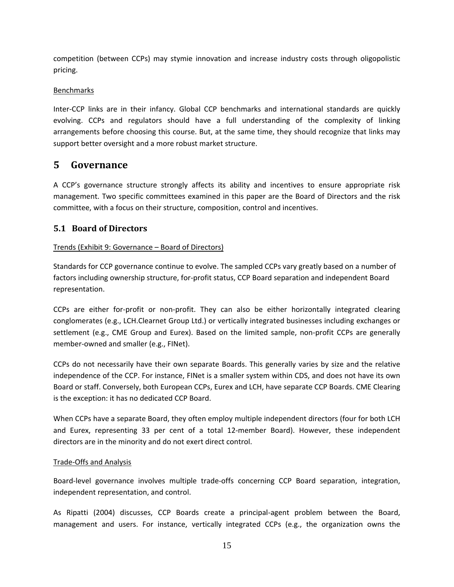competition (between CCPs) may stymie innovation and increase industry costs through oligopolistic pricing.

#### Benchmarks

Inter-CCP links are in their infancy. Global CCP benchmarks and international standards are quickly evolving. CCPs and regulators should have a full understanding of the complexity of linking arrangements before choosing this course. But, at the same time, they should recognize that links may support better oversight and a more robust market structure.

## **5 Governance**

A CCP's governance structure strongly affects its ability and incentives to ensure appropriate risk management. Two specific committees examined in this paper are the Board of Directors and the risk committee, with a focus on their structure, composition, control and incentives.

### **5.1 Board of Directors**

#### Trends (Exhibit 9: Governance – Board of Directors)

Standards for CCP governance continue to evolve. The sampled CCPs vary greatly based on a number of factors including ownership structure, for-profit status, CCP Board separation and independent Board representation.

CCPs are either for‐profit or non‐profit. They can also be either horizontally integrated clearing conglomerates (e.g., LCH.Clearnet Group Ltd.) or vertically integrated businesses including exchanges or settlement (e.g., CME Group and Eurex). Based on the limited sample, non-profit CCPs are generally member-owned and smaller (e.g., FINet).

CCPs do not necessarily have their own separate Boards. This generally varies by size and the relative independence of the CCP. For instance, FINet is a smaller system within CDS, and does not have its own Board or staff. Conversely, both European CCPs, Eurex and LCH, have separate CCP Boards. CME Clearing is the exception: it has no dedicated CCP Board.

When CCPs have a separate Board, they often employ multiple independent directors (four for both LCH and Eurex, representing 33 per cent of a total 12‐member Board). However, these independent directors are in the minority and do not exert direct control.

#### Trade‐Offs and Analysis

Board‐level governance involves multiple trade‐offs concerning CCP Board separation, integration, independent representation, and control.

As Ripatti (2004) discusses, CCP Boards create a principal‐agent problem between the Board, management and users. For instance, vertically integrated CCPs (e.g., the organization owns the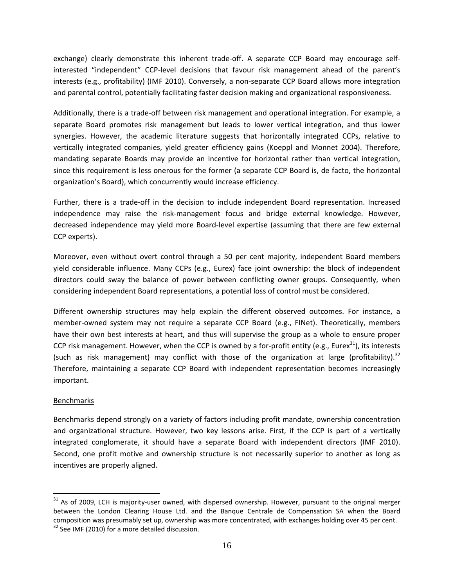exchange) clearly demonstrate this inherent trade-off. A separate CCP Board may encourage selfinterested "independent" CCP‐level decisions that favour risk management ahead of the parent's interests (e.g., profitability) (IMF 2010). Conversely, a non-separate CCP Board allows more integration and parental control, potentially facilitating faster decision making and organizational responsiveness.

Additionally, there is a trade‐off between risk management and operational integration. For example, a separate Board promotes risk management but leads to lower vertical integration, and thus lower synergies. However, the academic literature suggests that horizontally integrated CCPs, relative to vertically integrated companies, yield greater efficiency gains (Koeppl and Monnet 2004). Therefore, mandating separate Boards may provide an incentive for horizontal rather than vertical integration, since this requirement is less onerous for the former (a separate CCP Board is, de facto, the horizontal organization's Board), which concurrently would increase efficiency.

Further, there is a trade‐off in the decision to include independent Board representation. Increased independence may raise the risk‐management focus and bridge external knowledge. However, decreased independence may yield more Board‐level expertise (assuming that there are few external CCP experts).

Moreover, even without overt control through a 50 per cent majority, independent Board members yield considerable influence. Many CCPs (e.g., Eurex) face joint ownership: the block of independent directors could sway the balance of power between conflicting owner groups. Consequently, when considering independent Board representations, a potential loss of control must be considered.

Different ownership structures may help explain the different observed outcomes. For instance, a member-owned system may not require a separate CCP Board (e.g., FINet). Theoretically, members have their own best interests at heart, and thus will supervise the group as a whole to ensure proper CCP risk management. However, when the CCP is owned by a for-profit entity (e.g., Eurex $31$ ), its interests (such as risk management) may conflict with those of the organization at large (profitability).<sup>32</sup> Therefore, maintaining a separate CCP Board with independent representation becomes increasingly important.

#### Benchmarks

Benchmarks depend strongly on a variety of factors including profit mandate, ownership concentration and organizational structure. However, two key lessons arise. First, if the CCP is part of a vertically integrated conglomerate, it should have a separate Board with independent directors (IMF 2010). Second, one profit motive and ownership structure is not necessarily superior to another as long as incentives are properly aligned.

 $31$  As of 2009, LCH is majority-user owned, with dispersed ownership. However, pursuant to the original merger between the London Clearing House Ltd. and the Banque Centrale de Compensation SA when the Board composition was presumably set up, ownership was more concentrated, with exchanges holding over 45 per cent.<br><sup>32</sup> See IMF (2010) for a more detailed discussion.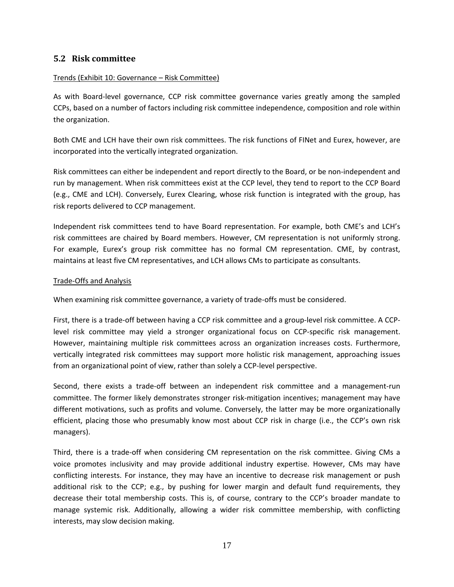#### **5.2 Risk committee**

#### Trends (Exhibit 10: Governance – Risk Committee)

As with Board‐level governance, CCP risk committee governance varies greatly among the sampled CCPs, based on a number of factors including risk committee independence, composition and role within the organization.

Both CME and LCH have their own risk committees. The risk functions of FINet and Eurex, however, are incorporated into the vertically integrated organization.

Risk committees can either be independent and report directly to the Board, or be non-independent and run by management. When risk committees exist at the CCP level, they tend to report to the CCP Board (e.g., CME and LCH). Conversely, Eurex Clearing, whose risk function is integrated with the group, has risk reports delivered to CCP management.

Independent risk committees tend to have Board representation. For example, both CME's and LCH's risk committees are chaired by Board members. However, CM representation is not uniformly strong. For example, Eurex's group risk committee has no formal CM representation. CME, by contrast, maintains at least five CM representatives, and LCH allows CMs to participate as consultants.

#### Trade‐Offs and Analysis

When examining risk committee governance, a variety of trade‐offs must be considered.

First, there is a trade‐off between having a CCP risk committee and a group‐level risk committee. A CCP‐ level risk committee may yield a stronger organizational focus on CCP-specific risk management. However, maintaining multiple risk committees across an organization increases costs. Furthermore, vertically integrated risk committees may support more holistic risk management, approaching issues from an organizational point of view, rather than solely a CCP‐level perspective.

Second, there exists a trade‐off between an independent risk committee and a management‐run committee. The former likely demonstrates stronger risk‐mitigation incentives; management may have different motivations, such as profits and volume. Conversely, the latter may be more organizationally efficient, placing those who presumably know most about CCP risk in charge (i.e., the CCP's own risk managers).

Third, there is a trade‐off when considering CM representation on the risk committee. Giving CMs a voice promotes inclusivity and may provide additional industry expertise. However, CMs may have conflicting interests. For instance, they may have an incentive to decrease risk management or push additional risk to the CCP; e.g., by pushing for lower margin and default fund requirements, they decrease their total membership costs. This is, of course, contrary to the CCP's broader mandate to manage systemic risk. Additionally, allowing a wider risk committee membership, with conflicting interests, may slow decision making.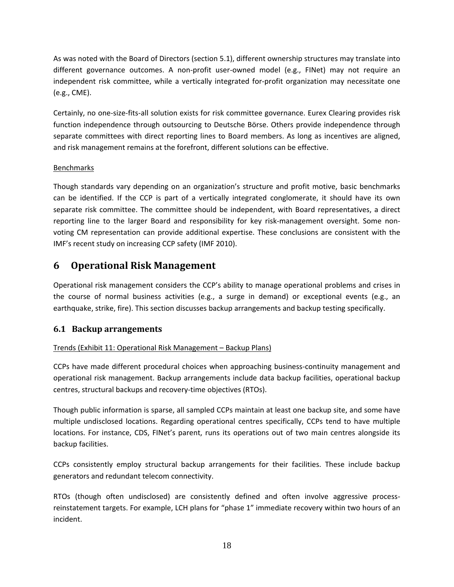As was noted with the Board of Directors (section 5.1), different ownership structures may translate into different governance outcomes. A non-profit user-owned model (e.g., FINet) may not require an independent risk committee, while a vertically integrated for-profit organization may necessitate one (e.g., CME).

Certainly, no one‐size‐fits‐all solution exists for risk committee governance. Eurex Clearing provides risk function independence through outsourcing to Deutsche Börse. Others provide independence through separate committees with direct reporting lines to Board members. As long as incentives are aligned, and risk management remains at the forefront, different solutions can be effective.

#### Benchmarks

Though standards vary depending on an organization's structure and profit motive, basic benchmarks can be identified. If the CCP is part of a vertically integrated conglomerate, it should have its own separate risk committee. The committee should be independent, with Board representatives, a direct reporting line to the larger Board and responsibility for key risk-management oversight. Some nonvoting CM representation can provide additional expertise. These conclusions are consistent with the IMF's recent study on increasing CCP safety (IMF 2010).

## **6 Operational Risk Management**

Operational risk management considers the CCP's ability to manage operational problems and crises in the course of normal business activities (e.g., a surge in demand) or exceptional events (e.g., an earthquake, strike, fire). This section discusses backup arrangements and backup testing specifically.

#### **6.1 Backup arrangements**

#### Trends (Exhibit 11: Operational Risk Management – Backup Plans)

CCPs have made different procedural choices when approaching business‐continuity management and operational risk management. Backup arrangements include data backup facilities, operational backup centres, structural backups and recovery‐time objectives (RTOs).

Though public information is sparse, all sampled CCPs maintain at least one backup site, and some have multiple undisclosed locations. Regarding operational centres specifically, CCPs tend to have multiple locations. For instance, CDS, FINet's parent, runs its operations out of two main centres alongside its backup facilities.

CCPs consistently employ structural backup arrangements for their facilities. These include backup generators and redundant telecom connectivity.

RTOs (though often undisclosed) are consistently defined and often involve aggressive processreinstatement targets. For example, LCH plans for "phase 1" immediate recovery within two hours of an incident.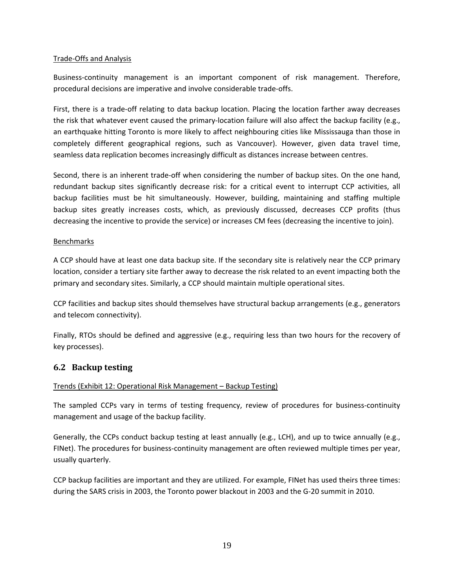#### Trade‐Offs and Analysis

Business‐continuity management is an important component of risk management. Therefore, procedural decisions are imperative and involve considerable trade‐offs.

First, there is a trade‐off relating to data backup location. Placing the location farther away decreases the risk that whatever event caused the primary‐location failure will also affect the backup facility (e.g., an earthquake hitting Toronto is more likely to affect neighbouring cities like Mississauga than those in completely different geographical regions, such as Vancouver). However, given data travel time, seamless data replication becomes increasingly difficult as distances increase between centres.

Second, there is an inherent trade-off when considering the number of backup sites. On the one hand, redundant backup sites significantly decrease risk: for a critical event to interrupt CCP activities, all backup facilities must be hit simultaneously. However, building, maintaining and staffing multiple backup sites greatly increases costs, which, as previously discussed, decreases CCP profits (thus decreasing the incentive to provide the service) or increases CM fees (decreasing the incentive to join).

#### Benchmarks

A CCP should have at least one data backup site. If the secondary site is relatively near the CCP primary location, consider a tertiary site farther away to decrease the risk related to an event impacting both the primary and secondary sites. Similarly, a CCP should maintain multiple operational sites.

CCP facilities and backup sites should themselves have structural backup arrangements (e.g., generators and telecom connectivity).

Finally, RTOs should be defined and aggressive (e.g., requiring less than two hours for the recovery of key processes).

#### **6.2 Backup testing**

#### Trends (Exhibit 12: Operational Risk Management – Backup Testing)

The sampled CCPs vary in terms of testing frequency, review of procedures for business-continuity management and usage of the backup facility.

Generally, the CCPs conduct backup testing at least annually (e.g., LCH), and up to twice annually (e.g., FINet). The procedures for business-continuity management are often reviewed multiple times per year, usually quarterly.

CCP backup facilities are important and they are utilized. For example, FINet has used theirs three times: during the SARS crisis in 2003, the Toronto power blackout in 2003 and the G‐20 summit in 2010.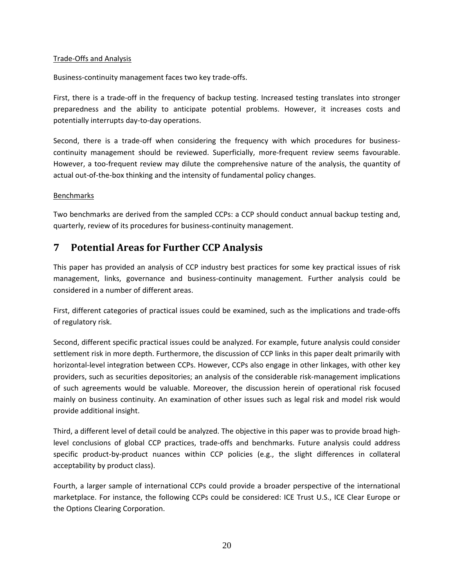#### Trade‐Offs and Analysis

Business‐continuity management faces two key trade‐offs.

First, there is a trade‐off in the frequency of backup testing. Increased testing translates into stronger preparedness and the ability to anticipate potential problems. However, it increases costs and potentially interrupts day‐to‐day operations.

Second, there is a trade-off when considering the frequency with which procedures for businesscontinuity management should be reviewed. Superficially, more-frequent review seems favourable. However, a too‐frequent review may dilute the comprehensive nature of the analysis, the quantity of actual out-of-the-box thinking and the intensity of fundamental policy changes.

#### Benchmarks

Two benchmarks are derived from the sampled CCPs: a CCP should conduct annual backup testing and, quarterly, review of its procedures for business‐continuity management.

## **7 Potential Areas for Further CCP Analysis**

This paper has provided an analysis of CCP industry best practices for some key practical issues of risk management, links, governance and business-continuity management. Further analysis could be considered in a number of different areas.

First, different categories of practical issues could be examined, such as the implications and trade‐offs of regulatory risk.

Second, different specific practical issues could be analyzed. For example, future analysis could consider settlement risk in more depth. Furthermore, the discussion of CCP links in this paper dealt primarily with horizontal‐level integration between CCPs. However, CCPs also engage in other linkages, with other key providers, such as securities depositories; an analysis of the considerable risk‐management implications of such agreements would be valuable. Moreover, the discussion herein of operational risk focused mainly on business continuity. An examination of other issues such as legal risk and model risk would provide additional insight.

Third, a different level of detail could be analyzed. The objective in this paper was to provide broad high‐ level conclusions of global CCP practices, trade-offs and benchmarks. Future analysis could address specific product-by-product nuances within CCP policies (e.g., the slight differences in collateral acceptability by product class).

Fourth, a larger sample of international CCPs could provide a broader perspective of the international marketplace. For instance, the following CCPs could be considered: ICE Trust U.S., ICE Clear Europe or the Options Clearing Corporation.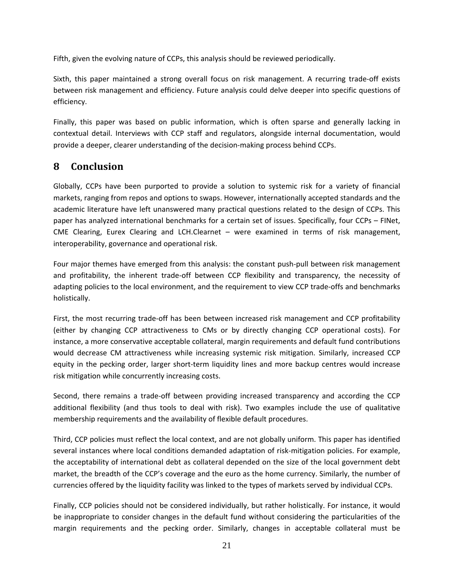Fifth, given the evolving nature of CCPs, this analysis should be reviewed periodically.

Sixth, this paper maintained a strong overall focus on risk management. A recurring trade‐off exists between risk management and efficiency. Future analysis could delve deeper into specific questions of efficiency.

Finally, this paper was based on public information, which is often sparse and generally lacking in contextual detail. Interviews with CCP staff and regulators, alongside internal documentation, would provide a deeper, clearer understanding of the decision‐making process behind CCPs.

## **8 Conclusion**

Globally, CCPs have been purported to provide a solution to systemic risk for a variety of financial markets, ranging from repos and options to swaps. However, internationally accepted standards and the academic literature have left unanswered many practical questions related to the design of CCPs. This paper has analyzed international benchmarks for a certain set of issues. Specifically, four CCPs – FINet, CME Clearing, Eurex Clearing and LCH.Clearnet – were examined in terms of risk management, interoperability, governance and operational risk.

Four major themes have emerged from this analysis: the constant push-pull between risk management and profitability, the inherent trade‐off between CCP flexibility and transparency, the necessity of adapting policies to the local environment, and the requirement to view CCP trade‐offs and benchmarks holistically.

First, the most recurring trade‐off has been between increased risk management and CCP profitability (either by changing CCP attractiveness to CMs or by directly changing CCP operational costs). For instance, a more conservative acceptable collateral, margin requirements and default fund contributions would decrease CM attractiveness while increasing systemic risk mitigation. Similarly, increased CCP equity in the pecking order, larger short-term liquidity lines and more backup centres would increase risk mitigation while concurrently increasing costs.

Second, there remains a trade‐off between providing increased transparency and according the CCP additional flexibility (and thus tools to deal with risk). Two examples include the use of qualitative membership requirements and the availability of flexible default procedures.

Third, CCP policies must reflect the local context, and are not globally uniform. This paper has identified several instances where local conditions demanded adaptation of risk‐mitigation policies. For example, the acceptability of international debt as collateral depended on the size of the local government debt market, the breadth of the CCP's coverage and the euro as the home currency. Similarly, the number of currencies offered by the liquidity facility was linked to the types of markets served by individual CCPs.

Finally, CCP policies should not be considered individually, but rather holistically. For instance, it would be inappropriate to consider changes in the default fund without considering the particularities of the margin requirements and the pecking order. Similarly, changes in acceptable collateral must be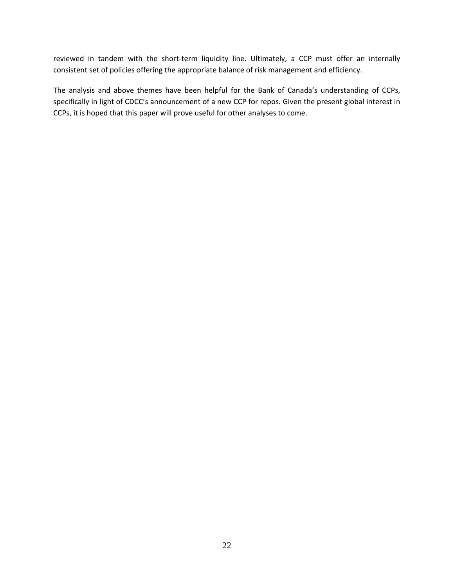reviewed in tandem with the short-term liquidity line. Ultimately, a CCP must offer an internally consistent set of policies offering the appropriate balance of risk management and efficiency.

The analysis and above themes have been helpful for the Bank of Canada's understanding of CCPs, specifically in light of CDCC's announcement of a new CCP for repos. Given the present global interest in CCPs, it is hoped that this paper will prove useful for other analyses to come.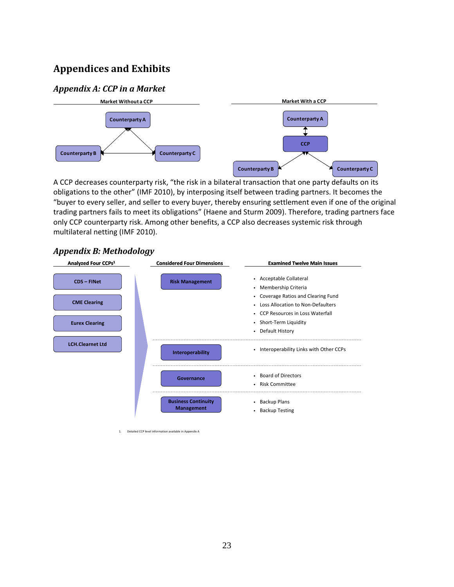## **Appendices and Exhibits**

### *Appendix A: CCP in a Market*



A CCP decreases counterparty risk, "the risk in a bilateral transaction that one party defaults on its obligations to the other" (IMF 2010), by interposing itself between trading partners. It becomes the "buyer to every seller, and seller to every buyer, thereby ensuring settlement even if one of the original trading partners fails to meet its obligations" (Haene and Sturm 2009). Therefore, trading partners face only CCP counterparty risk. Among other benefits, a CCP also decreases systemic risk through multilateral netting (IMF 2010).

#### **Analyzed Four CCPs1 Considered Four Dimensions Examined Twelve Main Issues CDS – FINet CME Clearing Eurex Clearing LCH.Clearnet Ltd Risk Management Interoperability Governance Business Continuity Management** • Acceptable Collateral • Membership Criteria • Coverage Ratios and Clearing Fund • Loss Allocation to Non‐Defaulters • CCP Resources in Loss Waterfall • Short‐Term Liquidity • Default History • Interoperability Links with Other CCPs • Board of Directors • Risk Committee • Backup Plans • Backup Testing

#### *Appendix B: Methodology*

1. Detailed CCP level information available in Appendix A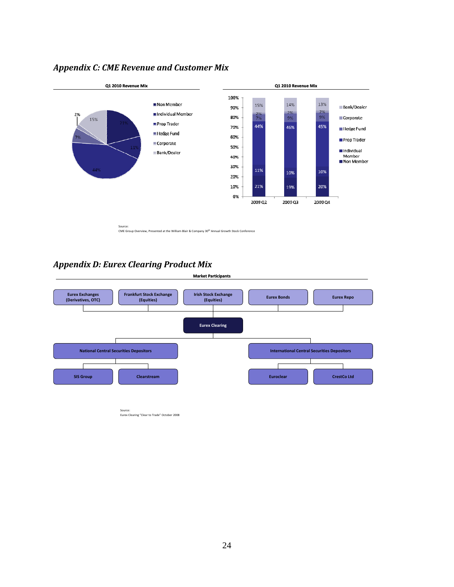## *Appendix C: CME Revenue and Customer Mix*



Source: CME Group Overview, Presented at the William Blair & Company 30th Annual Growth Stock Conference

## *Appendix D: Eurex Clearing Product Mix*



Source: Eurex Clearing "Clear to Trade" October 2008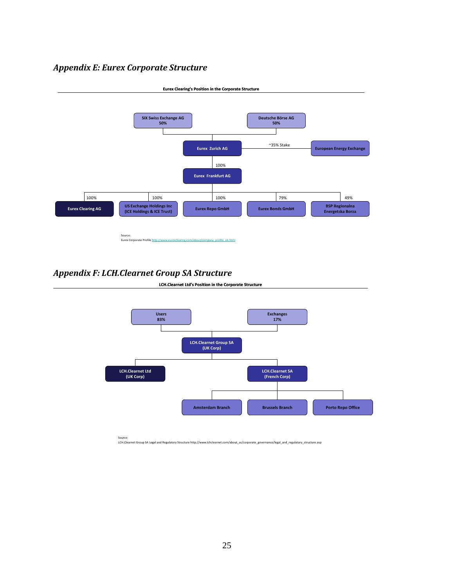## *Appendix E: Eurex Corporate Structure*



**LCH.Clearnet Ltd's Position in the Corporate Structure**

### *Appendix F: LCH.Clearnet Group SA Structure*

 $\overline{a}$ 



Source:<br>LCH.Clearnet Group SA Legal and Regulatory Structure http://www.lchclearnet.com/about\_us/corporate\_governance/legal\_and\_regulatory\_structure.asp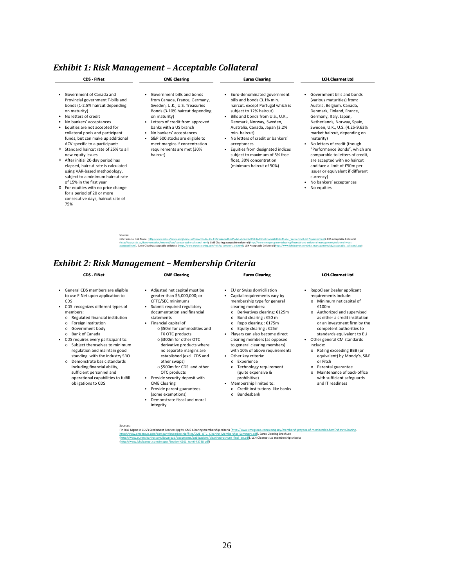## *Exhibit 1: Risk Management – Acceptable Collateral*

| <b>CDS - FINet</b>                                                                                                                                                                                                                                                                                                                                                                                                                                                                                                                                                                                                                                                                   | <b>CME Clearing</b>                                                                                                                                                                                                                                                                                                                                                            | <b>Eurex Clearing</b>                                                                                                                                                                                                                                                                                                                                                                                                                                                                                                                                                                                                                  | <b>LCH.Clearnet Ltd</b>                                                                                                                                                                                                                                                                                                                                                                                                                                                                                                                  |
|--------------------------------------------------------------------------------------------------------------------------------------------------------------------------------------------------------------------------------------------------------------------------------------------------------------------------------------------------------------------------------------------------------------------------------------------------------------------------------------------------------------------------------------------------------------------------------------------------------------------------------------------------------------------------------------|--------------------------------------------------------------------------------------------------------------------------------------------------------------------------------------------------------------------------------------------------------------------------------------------------------------------------------------------------------------------------------|----------------------------------------------------------------------------------------------------------------------------------------------------------------------------------------------------------------------------------------------------------------------------------------------------------------------------------------------------------------------------------------------------------------------------------------------------------------------------------------------------------------------------------------------------------------------------------------------------------------------------------------|------------------------------------------------------------------------------------------------------------------------------------------------------------------------------------------------------------------------------------------------------------------------------------------------------------------------------------------------------------------------------------------------------------------------------------------------------------------------------------------------------------------------------------------|
| Government of Canada and<br>Provincial government T-bills and<br>bonds (1-2.5% haircut depending<br>on maturity)<br>No letters of credit<br>No bankers' acceptances<br>Equities are not accepted for<br>collateral pools and participant<br>funds, but can make up additional<br>ACV specific to a participant:<br>Standard haircut rate of 25% to all<br>$\circ$<br>new equity issues<br>○ After initial 20-day period has<br>elapsed, haircut rate is calculated<br>using VAR-based methodology,<br>subject to a minimum haircut rate<br>of 15% in the first year<br>○ For equities with no price change<br>for a period of 20 or more<br>consecutive days, haircut rate of<br>75% | Government bills and bonds<br>$\bullet$<br>from Canada, France, Germany,<br>Sweden, U.K., U.S. Treasuries<br>Bonds (3-10% haircut depending<br>on maturity)<br>Letters of credit from approved<br>banks with a US branch<br>No bankers' acceptances<br>$\bullet$<br>• S&P 500 stocks are eligible to<br>meet margins if concentration<br>requirements are met (30%<br>haircut) | • Euro-denominated government<br>bills and bonds (3.1% min.<br>haircut, except Portugal which is<br>subject to 12% haircut)<br>Bills and bonds from U.S., U.K.,<br>Denmark, Norway, Sweden,<br>Australia, Canada, Japan (3.2%<br>min. haircut)<br>No letters of credit or bankers'<br>acceptances<br>• Equities from designated indices<br>subject to maximum of 5% free<br>float, 30% concentration<br>(minimum haircut of 50%)                                                                                                                                                                                                       | Government bills and bonds<br>٠<br>(various maturities) from:<br>Austria, Belgium, Canada,<br>Denmark, Finland, France,<br>Germany, Italy, Japan,<br>Netherlands, Norway, Spain,<br>Sweden, U.K., U.S. (4.25-9.63%<br>market haircut, depending on<br>maturity)<br>• No letters of credit (though<br>"Performance Bonds", which are<br>comparable to letters of credit,<br>are accepted with no haircut<br>and face a limit of £50m per<br>issuer or equivalent if different<br>currency)<br>No bankers' acceptances<br>No equities<br>٠ |
| Sources:                                                                                                                                                                                                                                                                                                                                                                                                                                                                                                                                                                                                                                                                             |                                                                                                                                                                                                                                                                                                                                                                                | CDS Financial Risk Model (http://www.cds.ca/cdsclearinghome.nsf/Downloads/-EN-CDSFinancialRiskModel-Version6.0/\$File/CDS+Financial-Risk+Model Version+6.0.pdf?OpenElement), CDS Acceptable Collateral<br>(http://www.cds.ca/documentation/external/see/seeacceptablecollateral.html), CME Clearing acceptable collateral (http://www.cmegroup.com/clearing/financial-and-collateral-management/collateral-types-<br>accepted.html), Eurex Clearing acceptable collateral (http://www.eurexclearing.com/risk/parameters_en.html), LCH Acceptable Collateral (http://www.lchclearnet.com/risk_management/Itd/acceptable_collateral.asp) |                                                                                                                                                                                                                                                                                                                                                                                                                                                                                                                                          |

## *Exhibit 2: Risk Management – Membership Criteria*

| <b>CDS - FINet</b>                                                                                                                                                                                                                                                                                                                                                                                                                                                                                                                                                                                              | <b>CME Clearing</b>                                                                                                                                                                                                                                                                                                                                                                                                                                                                                                                                                                   | <b>Eurex Clearing</b>                                                                                                                                                                                                                                                                                                                                                                                                                                                                                                                                                                                      | <b>LCH.Clearnet Ltd</b>                                                                                                                                                                                                                                                                                                                                                                                                                                                                           |
|-----------------------------------------------------------------------------------------------------------------------------------------------------------------------------------------------------------------------------------------------------------------------------------------------------------------------------------------------------------------------------------------------------------------------------------------------------------------------------------------------------------------------------------------------------------------------------------------------------------------|---------------------------------------------------------------------------------------------------------------------------------------------------------------------------------------------------------------------------------------------------------------------------------------------------------------------------------------------------------------------------------------------------------------------------------------------------------------------------------------------------------------------------------------------------------------------------------------|------------------------------------------------------------------------------------------------------------------------------------------------------------------------------------------------------------------------------------------------------------------------------------------------------------------------------------------------------------------------------------------------------------------------------------------------------------------------------------------------------------------------------------------------------------------------------------------------------------|---------------------------------------------------------------------------------------------------------------------------------------------------------------------------------------------------------------------------------------------------------------------------------------------------------------------------------------------------------------------------------------------------------------------------------------------------------------------------------------------------|
| General CDS members are eligible<br>٠<br>to use FINet upon application to<br>CDS<br>CDS recognizes different types of<br>٠<br>members:<br>Regulated financial institution<br>$\circ$<br>Foreign institution<br>$\circ$<br>Government body<br>$\circ$<br>Bank of Canada<br>$\Omega$<br>CDS requires every participant to:<br>٠<br>Subject themselves to minimum<br>$\circ$<br>regulation and maintain good<br>standing with the industry SRO<br>Demonstrate basic standards<br>$\Omega$<br>including financial ability,<br>sufficient personnel and<br>operational capabilities to fulfill<br>obligations to CDS | Adjusted net capital must be<br>٠<br>greater than \$5,000,000; or<br>CFTC/SEC minimums<br>Submit required regulatory<br>documentation and financial<br>statements<br>Financial capital of<br>○ \$50m for commodities and<br>FX OTC products<br>o \$300m for other OTC<br>derivative products where<br>no separate margins are<br>established (excl. CDS and<br>other swaps)<br>○ \$500m for CDS and other<br>OTC products<br>Provide security deposit with<br>٠<br><b>CME Clearing</b><br>Provide parent guarantees<br>(some exemptions)<br>Demonstrate fiscal and moral<br>integrity | <b>FU or Swiss domiciliation</b><br>Capital requirements vary by<br>membership type for general<br>clearing members:<br>o Derivatives clearing: €125m<br>Bond clearing : €50 m<br>$\circ$<br>Repo clearing: €175m<br>$\Omega$<br>○ Equity clearing : $£25m$<br>Players can also become direct<br>clearing members (as opposed<br>to general clearing members)<br>with 10% of above requirements<br>Other key criteria:<br>٠<br>o Experience<br>Technology requirement<br>$\Omega$<br>(quite expensive &<br>prohibitive)<br>Membership limited to:<br>٠<br>o Credit institutions like banks<br>o Bundesbank | RepoClear Dealer applicant<br>requirements include:<br>Minimum net capital of<br>€100m<br>o Authorized and supervised<br>as either a credit institution<br>or an investment firm by the<br>competent authorities to<br>standards equivalent to EU<br>Other general CM standards<br>include:<br>o Rating exceeding BBB (or<br>equivalent) by Moody's, S&P<br>or Fitch<br>Parental guarantee<br>$\circ$<br>Maintenance of back-office<br>$\Omega$<br>with sufficient safeguards<br>and IT readiness |

Sources:<br>Fin Risk Mgmt in CDS's Settlement Services (pg 9), CME Clearing membership criteria <u>(http://www.cmegroup.com/company/membership/types-of-membership.html?show=Clearing,<br>http://www.cmegroup.com/company/membership/f</u>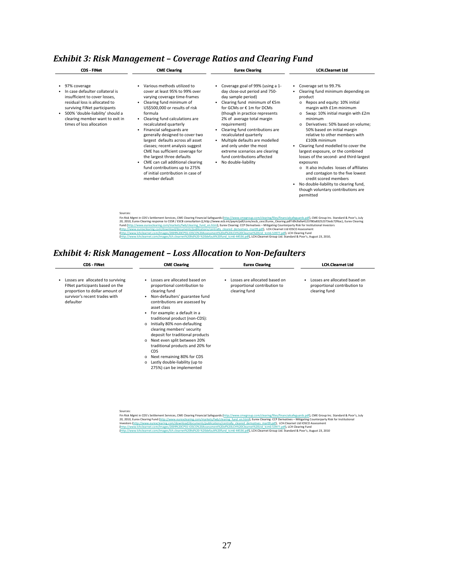| <b>CDS - FINet</b>                                                                                                                                                                                                                                   | <b>CME Clearing</b>                                                                                                                                                                                                                                                                                                                                                                                                                                                                                                                                                                                                                                                                          | <b>Eurex Clearing</b>                                                                                                                                                                                                                                                                                                                                                                                                                                            | <b>LCH.Clearnet Ltd</b>                                                                                                                                                                                                                                                                                                                                                                                                                                                                                                                                                                                                                                           |
|------------------------------------------------------------------------------------------------------------------------------------------------------------------------------------------------------------------------------------------------------|----------------------------------------------------------------------------------------------------------------------------------------------------------------------------------------------------------------------------------------------------------------------------------------------------------------------------------------------------------------------------------------------------------------------------------------------------------------------------------------------------------------------------------------------------------------------------------------------------------------------------------------------------------------------------------------------|------------------------------------------------------------------------------------------------------------------------------------------------------------------------------------------------------------------------------------------------------------------------------------------------------------------------------------------------------------------------------------------------------------------------------------------------------------------|-------------------------------------------------------------------------------------------------------------------------------------------------------------------------------------------------------------------------------------------------------------------------------------------------------------------------------------------------------------------------------------------------------------------------------------------------------------------------------------------------------------------------------------------------------------------------------------------------------------------------------------------------------------------|
| 97% coverage<br>In case defaulter collateral is<br>insufficient to cover losses.<br>residual loss is allocated to<br>surviving FINet participants<br>500% 'double-liability' should a<br>clearing member want to exit in<br>times of loss allocation | Various methods utilized to<br>cover at least 95% to 99% over<br>varying coverage time-frames<br>• Clearing fund minimum of<br>US\$500,000 or results of risk<br>formula<br>• Clearing fund calculations are<br>recalculated quarterly<br>Financial safeguards are<br>٠<br>generally designed to cover two<br>largest defaults across all asset<br>classes; recent analysis suggest<br>CME has sufficient coverage for<br>the largest three defaults<br>CME can call additional clearing<br>٠<br>fund contributions up to 275%<br>of initial contribution in case of<br>member default                                                                                                       | • Coverage goal of 99% (using a 1-<br>day close-out period and 750-<br>day sample period)<br>• Clearing fund minimum of €5m<br>for GCMs or € 1m for DCMs<br>(though in practice represents<br>2% of average total margin<br>requirement)<br>• Clearing fund contributions are<br>recalculated quarterly<br>• Multiple defaults are modelled<br>and only under the most<br>extreme scenarios are clearing<br>fund contributions affected<br>• No double-liability | • Coverage set to 99.7%<br>Clearing fund minimum depending on<br>product<br>Repos and equity: 10% initial<br>margin with £1m minimum<br>o Swap: 10% initial margin with £2m<br>minimum<br>Derivatives: 50% based on volume:<br>$\sim$<br>50% based on initial margin<br>relative to other members with<br>£100k minimum<br>Clearing fund modelled to cover the<br>largest exposure, or the combined<br>losses of the second- and third-largest<br>exposures<br>o It also includes losses of affiliates<br>and contagion to the five lowest<br>credit scored members<br>• No double-liability to clearing fund,<br>though voluntary contributions are<br>permitted |
| Sources:                                                                                                                                                                                                                                             | Fin Risk Mgmt in CDS's Settlement Services, CME Clearing Financial Safeguards (http://www.cmegroup.com/clearing/files/financialsafeguards.pdf), CME Group Inc. Standard & Poor's, July<br>20, 2010, Eurex Clearing response to CESR / ESCB consultation ((,http://www.ecb.int/paym/pdf/cons/escb cesr/Eurex Clearing.pdf?d9c9a9a4123780a83252373edc72f6ac), Eurex Clearing<br>Fund (http://www.eurexclearing.com/markets/fwb/clearing fund en.html), Eurex Clearing: CCP Derivatives - Mitigating Counterparty Risk for Institutional Investors<br>(http://www.eurexclearing.com/download/documents/publications/centrally cleared derivatives mar09.pdf), LCH.Clearnet Ltd IOSCO Assessment | (http://www.lchclearnet.com/Images/2009%20CPSS-IOSCO%20Assessment%20of%20LCH%20Clearnet%20Ltd_tcm6-53977.pdf), LCH Clearing Fund                                                                                                                                                                                                                                                                                                                                 |                                                                                                                                                                                                                                                                                                                                                                                                                                                                                                                                                                                                                                                                   |

#### *Exhibit 3: Risk Management – Coverage Ratios and Clearing Fund*

#### *Exhibit 4: Risk Management – Loss Allocation to NonDefaulters*

| <b>CDS - FINet</b>                                                                                                                                                | <b>CME Clearing</b>                                                                                                                                                                                                                                                                                                                                                                                                                                                                                                                       | <b>Eurex Clearing</b>                                                                       | <b>LCH.Clearnet Ltd</b>                                                                     |
|-------------------------------------------------------------------------------------------------------------------------------------------------------------------|-------------------------------------------------------------------------------------------------------------------------------------------------------------------------------------------------------------------------------------------------------------------------------------------------------------------------------------------------------------------------------------------------------------------------------------------------------------------------------------------------------------------------------------------|---------------------------------------------------------------------------------------------|---------------------------------------------------------------------------------------------|
| Losses are allocated to surviving<br>$\bullet$<br>FINet participants based on the<br>proportion to dollar amount of<br>survivor's recent trades with<br>defaulter | • Losses are allocated based on<br>proportional contribution to<br>clearing fund<br>• Non-defaulters' guarantee fund<br>contributions are assessed by<br>asset class<br>• For example: a default in a<br>traditional product (non-CDS):<br>o Initially 80% non-defaulting<br>clearing members' security<br>deposit for traditional products<br>o Next even split between 20%<br>traditional products and 20% for<br>CDS<br>Next remaining 80% for CDS<br>$\circ$<br>Lastly double-liability (up to<br>$\circ$<br>275%) can be implemented | Losses are allocated based on<br>$\bullet$<br>proportional contribution to<br>clearing fund | Losses are allocated based on<br>$\bullet$<br>proportional contribution to<br>clearing fund |
| Sources:                                                                                                                                                          |                                                                                                                                                                                                                                                                                                                                                                                                                                                                                                                                           |                                                                                             |                                                                                             |

Fin Risk Mamt in CDS's Settlement Services, CME Clearing Financial Safeguards (http://www.cm.egroup.com/clearing/files/financials/deguards.com/markets/wd/clearing.com/markets/markets/markets/markets/markets/markets/markets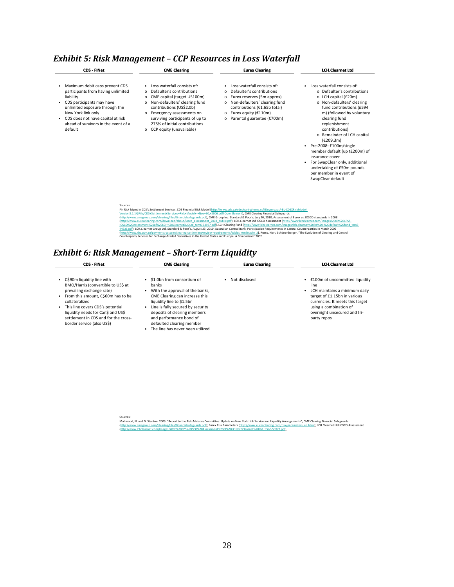#### • Maximum debit caps prevent CDS participants from having unlimited liability • CDS participants may have unlimited exposure through the New York link only • CDS does not have capital at risk ahead of survivors in the event of a default **CDS ‐ FINet** • Loss waterfall consists of: o Defaulter's contributions o CME capital (target US100m) o Non‐defaulters' clearing fund contributions (US\$2.0b) o Emergency assessments on surviving participants of up to 275% of initial contributions o CCP equity (unavailable) **CME Clearing** • Loss waterfall consists of: o Defaulter's contributions o Eurex reserves (5m approx) o Non‐defaulters' clearing fund contributions (€1.65b total) o Eurex equity (€110m) o Parental guarantee (€700m) **Eurex Clearing** • Loss waterfall consists of: o Defaulter's contributions o LCH capital (£20m) o Non‐defaulters' clearing fund contributions (£594 m) (followed by voluntary clearing fund replenishment contributions) o Remainder of LCH capital (€209.3m) • Pre-2008: £100m/single member default (up t£200m) of insurance cover • For SwapClear only, additional undertaking of £50m pounds per member in event of SwapClear default **LCH.Clearnet Ltd**

#### *Exhibit 5: Risk Management – CCP Resources in Loss Waterfall*

| Sources:                                                                                                                                                                |
|-------------------------------------------------------------------------------------------------------------------------------------------------------------------------|
| Fin Risk Mgmt in CDS's Settlement Services, CDS Financial Risk Model (http://www.cds.ca/cdsclearinghome.nsf/Downloads/-BL-CDSXRiskModel-                                |
| Version3.2.1/\$File/CDS+Settlement+Services+Risk+Model+-+Nov+30,+2006.pdf?OpenElement), CME Clearing Financial Safeguards                                               |
| (http://www.cmegroup.com/clearing/files/financialsafeguards.pdf), CME Group Inc. Standard & Poor's, July 20, 2010, Assessment of Eurex vs. IOSCO standards in 2008      |
| (http://www.eurexclearing.com/download/about/iosco assessment 2008 public.pdf), LCH.Clearnet Ltd IOSCO Assessment (http://www.lchclearnet.com/Images/2009%20CPSS-       |
| IOSCO%20Assessment%20of%20LCH%20Clearnet%20Ltd tcm6-53977.pdf), LCH Clearing Fund (http://www.lchclearnet.com/images/lch.clearnet%20ltd%20-%20default%20fund tcm6-      |
| 44536.pdf), LCH.Clearnet Group Ltd. Standard & Poor's. August 23, 2010. Australian Central Bank: Participation Requirements in Central Counterparties in March 2009     |
| (http://www.rba.gov.au/payments-system/clearing-settlement/review-requirements/tables.html#table 2). Russo, Hart, Schönenberger, "The Evolution of Clearing and Central |
| Counterparty Services for Exchange-Traded Derivatives in the United States and Europe: A Comparison" 2002.                                                              |

#### *Exhibit 6: Risk Management – ShortTerm Liquidity*

| CDS - FINet                                                                                                                                                                                                                                                                                         | <b>CME Clearing</b>                                                                                                                                                                                                                                                                                      | <b>Eurex Clearing</b> | <b>LCH.Clearnet Ltd</b>                                                                                                                                                                                                  |
|-----------------------------------------------------------------------------------------------------------------------------------------------------------------------------------------------------------------------------------------------------------------------------------------------------|----------------------------------------------------------------------------------------------------------------------------------------------------------------------------------------------------------------------------------------------------------------------------------------------------------|-----------------------|--------------------------------------------------------------------------------------------------------------------------------------------------------------------------------------------------------------------------|
| CS90m liquidity line with<br>BMO/Harris (convertible to US\$ at<br>prevailing exchange rate)<br>From this amount, C\$60m has to be<br>collateralized<br>This line covers CDS's potential<br>liquidity needs for Can\$ and US\$<br>settlement in CDS and for the cross-<br>border service (also USS) | • \$1.0bn from consortium of<br>hanks<br>With the approval of the banks,<br>CME Clearing can increase this<br>liquidity line to \$1.5bn<br>Line is fully secured by security<br>deposits of clearing members<br>and performance bond of<br>defaulted clearing member<br>The line has never been utilized | Not disclosed         | • £100m of uncommitted liquidity<br>line<br>• LCH maintains a minimum daily<br>target of £1.15bn in various<br>currencies. It meets this target<br>using a combination of<br>overnight unsecured and tri-<br>party repos |

Sources: Mahmood, N. and D. Stanton. 2009. "Report to the Risk Advisory Committee: Update on New York Link Service and Liquidity Arrangements"; CME Clearing Financial Safeguards<br>(http://www.cmegroup.com/clearing/files/financialsafe (http://www.lchclearnet.com/Images/2009%20CPSS‐IOSCO%20Assessment%20of%20LCH%20Clearnet%20Ltd\_tcm6‐53977.pdf),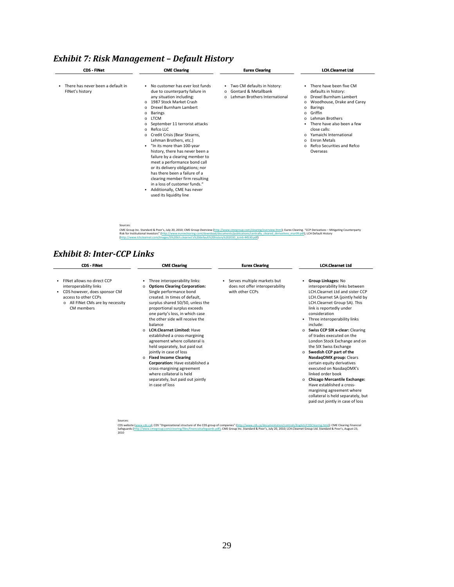|                                                      | ີ<br>◢                                                                                                                                                                                                                                                                                                                                                                                                                                                                                                                                                                                                                                            |                                                                                                                |                                                                                                                                                                                                                                                                                                                                                                                           |
|------------------------------------------------------|---------------------------------------------------------------------------------------------------------------------------------------------------------------------------------------------------------------------------------------------------------------------------------------------------------------------------------------------------------------------------------------------------------------------------------------------------------------------------------------------------------------------------------------------------------------------------------------------------------------------------------------------------|----------------------------------------------------------------------------------------------------------------|-------------------------------------------------------------------------------------------------------------------------------------------------------------------------------------------------------------------------------------------------------------------------------------------------------------------------------------------------------------------------------------------|
| <b>CDS - FINet</b>                                   | <b>CME Clearing</b>                                                                                                                                                                                                                                                                                                                                                                                                                                                                                                                                                                                                                               | <b>Eurex Clearing</b>                                                                                          | <b>LCH.Clearnet Ltd</b>                                                                                                                                                                                                                                                                                                                                                                   |
| There has never been a default in<br>FINet's history | No customer has ever lost funds<br>due to counterparty failure in<br>any situation including:<br>1987 Stock Market Crash<br>$\Omega$<br>Drexel Burnham Lambert<br>$\circ$<br>Barings<br>$\circ$<br><b>LTCM</b><br>$\Omega$<br>September 11 terrorist attacks<br>$\circ$<br>Refco LLC<br>$\Omega$<br>Credit Crisis (Bear Stearns,<br>$\circ$<br>Lehman Brothers, etc.)<br>"In its more than 100-year<br>history, there has never been a<br>failure by a clearing member to<br>meet a performance bond call<br>or its delivery obligations; nor<br>has there been a failure of a<br>clearing member firm resulting<br>in a loss of customer funds." | • Two CM defaults in history:<br>Gontard & Metallbank<br>$\Omega$<br>Lehman Brothers International<br>$\Omega$ | There have been five CM<br>defaults in history:<br>Drexel Burnham Lambert<br>Woodhouse, Drake and Carey<br>$\circ$<br><b>Barings</b><br>$\circ$<br>Griffin<br>$\Omega$<br><b>Lehman Brothers</b><br>$\Omega$<br>There have also been a few<br>close calls:<br>Yamaichi International<br>$\Omega$<br><b>Enron Metals</b><br>$\Omega$<br>Refco Securities and Refco<br>$\Omega$<br>Overseas |

## *Exhibit 7: Risk Management – Default History*

in a loss of customer funds." • Additionally, CME has never used its liquidity line

Sources:<br>CME Group Inc. Standard & Poor's, July 20, 2010; CME Group Overview <u>(http://www.cmegroup.com/clearing/overview.html</u>); Eurex Clearing. "CCP Derivatives – Mitigating Counterparty<br>Risk for Institutional Investors"

#### *Exhibit 8: InterCCP Links*

| <b>CDS - FINet</b>                                                                                                                                                                   | <b>CME Clearing</b>                                                                                                                                                                                                                                                                                                                                                                                                                                                                                                                                                                                                                                                        | <b>Eurex Clearing</b>                                                             | <b>LCH.Clearnet Ltd</b>                                                                                                                                                                                                                                                                                                                                                                                                                                                                                                                                                                                                                                                                                                                        |
|--------------------------------------------------------------------------------------------------------------------------------------------------------------------------------------|----------------------------------------------------------------------------------------------------------------------------------------------------------------------------------------------------------------------------------------------------------------------------------------------------------------------------------------------------------------------------------------------------------------------------------------------------------------------------------------------------------------------------------------------------------------------------------------------------------------------------------------------------------------------------|-----------------------------------------------------------------------------------|------------------------------------------------------------------------------------------------------------------------------------------------------------------------------------------------------------------------------------------------------------------------------------------------------------------------------------------------------------------------------------------------------------------------------------------------------------------------------------------------------------------------------------------------------------------------------------------------------------------------------------------------------------------------------------------------------------------------------------------------|
| FINet allows no direct CCP<br>interoperability links<br>CDS however, does sponsor CM<br>$\bullet$<br>access to other CCPs<br>All FINet CMs are by necessity<br>$\circ$<br>CM members | Three interoperability links:<br>٠<br><b>Options Clearing Corporation:</b><br>$\circ$<br>Single performance bond<br>created. In times of default.<br>surplus shared 50/50, unless the<br>proportional surplus exceeds<br>one party's loss, in which case<br>the other side will receive the<br>balance<br><b>LCH.Clearnet Limited: Have</b><br>$\Omega$<br>established a cross-margining<br>agreement where collateral is<br>held separately, but paid out<br>jointly in case of loss<br><b>o</b> Fixed Income Clearing<br>Corporation: Have established a<br>cross-margining agreement<br>where collateral is held<br>separately, but paid out jointly<br>in case of loss | Serves multiple markets but<br>does not offer interoperability<br>with other CCPs | Group Linkages: No<br>$\bullet$<br>interoperability links between<br>LCH.Clearnet Ltd and sister CCP<br>LCH.Clearnet SA (jointly held by<br>LCH.Clearnet Group SA). This<br>link is reportedly under<br>consideration<br>Three interoperability links<br>٠<br>include:<br>Swiss CCP SIX x-clear: Clearing<br>$\Omega$<br>of trades executed on the<br>London Stock Exchange and on<br>the SIX Swiss Exchange<br>$\circ$ Swedish CCP part of the<br>NasdagOMX group: Clears<br>certain equity derivatives<br>executed on NasdagOMX's<br>linked order book<br><b>Chicago Mercantile Exchange:</b><br>$\circ$<br>Have established a cross-<br>margining agreement where<br>collateral is held separately, but<br>paid out jointly in case of loss |

Sources:<br>CDS website (<u>www.cds.ca</u>); CDS "Organizational structure of the CDS group of companies" (http://www.cds.ca/documentation/controls/English/CDSClearing.html): CME Clearing Financial<br>Safepuards (http://www.cmegroup.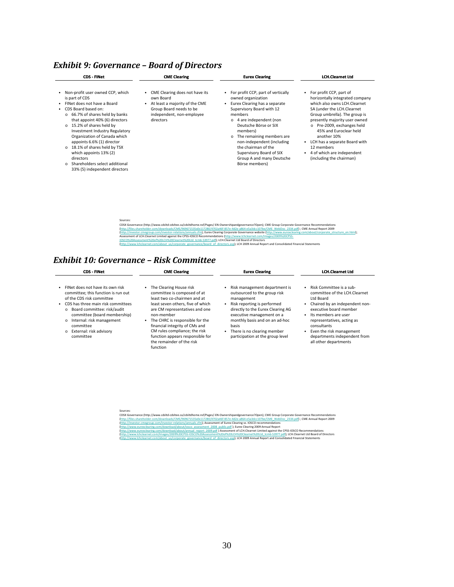### *Exhibit 9: Governance – Board of Directors*

| <b>CDS - FINet</b>                                                                                                                                                                                                                                                                                                                                                                                                                                                                                         | <b>CME Clearing</b>                                                                                                                                | <b>Eurex Clearing</b>                                                                                                                                                                                                                                                                                                                                                                 | <b>LCH.Clearnet Ltd</b>                                                                                                                                                                                                                                                                                                                                                                   |
|------------------------------------------------------------------------------------------------------------------------------------------------------------------------------------------------------------------------------------------------------------------------------------------------------------------------------------------------------------------------------------------------------------------------------------------------------------------------------------------------------------|----------------------------------------------------------------------------------------------------------------------------------------------------|---------------------------------------------------------------------------------------------------------------------------------------------------------------------------------------------------------------------------------------------------------------------------------------------------------------------------------------------------------------------------------------|-------------------------------------------------------------------------------------------------------------------------------------------------------------------------------------------------------------------------------------------------------------------------------------------------------------------------------------------------------------------------------------------|
| Non-profit user owned CCP, which<br>is part of CDS<br>• FINet does not have a Board<br>CDS Board based on:<br>$\bullet$<br>$\circ$ 66.7% of shares held by banks<br>that appoint 40% (6) directors<br>15.2% of shares held by<br>$\Omega$<br>Investment Industry Regulatory<br>Organization of Canada which<br>appoints 6.6% (1) director<br>18.1% of shares held by TSX<br>$\Omega$<br>which appoints 13% (2)<br>directors<br>Shareholders select additional<br>$\Omega$<br>33% (5) independent directors | CME Clearing does not have its<br>own Board<br>At least a majority of the CME<br>Group Board needs to be<br>independent, non-employee<br>directors | • For profit CCP, part of vertically<br>owned organization<br>Eurex Clearing has a separate<br>Supervisory Board with 12<br>members<br>4 are independent (non<br>$\circ$<br>Deutsche Börse or SIX<br>members)<br>The remaining members are<br>$\circ$<br>non-independent (including<br>the chairman of the<br>Supervisory Board of SIX<br>Group A and many Deutsche<br>Börse members) | For profit CCP, part of<br>٠<br>horizontally integrated company<br>which also owns LCH.Clearnet<br>SA (under the LCH.Clearnet<br>Group umbrella). The group is<br>presently majority user owned<br>o Pre-2009, exchanges held<br>45% and Euroclear held<br>another 10%<br>LCH has a separate Board with<br>٠<br>12 members<br>4 of which are independent<br>٠<br>(including the chairman) |

| Sources:                                                                                                                                                                     |
|------------------------------------------------------------------------------------------------------------------------------------------------------------------------------|
| CDSX Governance (http://www.cdsltd-cdsltee.ca/cdsltdhome.nsf/Pages/-EN-Ownershipandgovernance?Open): CME Group Corporate Governance Recommendations                          |
| (http://files.shareholder.com/downloads/CME/969671535x0x117280/4702a46f-857e-4d2e-a864-e5a3dcc107be/CME WebDoc 2334.pdf); CME Annual Report 2009                             |
| (http://investor.cmegroup.com/investor-relations/annuals.cfm); Eurex Clearing Corporate Governance website (http://www.eurexclearing.com/about/corporate structure en.html); |
| Assessment of LCH.Clearnet Limited against the CPSS-IOSCO Recommendations (http://www.lchclearnet.com/Images/2009%20CPSS-                                                    |
| IOSCO%20Assessment%20of%20LCH%20Clearnet%20Ltd_tcm6-53977.pdf): LCH.Clearnet Ltd Board of Directors                                                                          |
| (http://www.ichclearnet.com/about_us/corporate_governance/board_of_directors.asp): LCH 2009 Annual Report and Consolidated Financial Statements                              |

## *Exhibit 10: Governance – Risk Committee*

| <b>CDS - FINet</b>                                                                                                                                                                                                                                                                                     | <b>CME Clearing</b>                                                                                                                                                                                                                                                                                                                                            | <b>Eurex Clearing</b>                                                                                                                                                                                                                                                                      | <b>LCH.Clearnet Ltd</b>                                                                                                                                                                                                                                                                                          |
|--------------------------------------------------------------------------------------------------------------------------------------------------------------------------------------------------------------------------------------------------------------------------------------------------------|----------------------------------------------------------------------------------------------------------------------------------------------------------------------------------------------------------------------------------------------------------------------------------------------------------------------------------------------------------------|--------------------------------------------------------------------------------------------------------------------------------------------------------------------------------------------------------------------------------------------------------------------------------------------|------------------------------------------------------------------------------------------------------------------------------------------------------------------------------------------------------------------------------------------------------------------------------------------------------------------|
| FINet does not have its own risk<br>committee: this function is run out<br>of the CDS risk committee<br>CDS has three main risk committees<br>٠<br>o Board committee: risk/audit<br>committee (board membership)<br>o Internal: risk management<br>committee<br>o External: risk advisory<br>committee | The Clearing House risk<br>committee is composed of at<br>least two co-chairmen and at<br>least seven others, five of which<br>are CM representatives and one<br>non-member<br>The CHRC is responsible for the<br>financial integrity of CMs and<br>CM rules compliance; the risk<br>function appears responsible for<br>the remainder of the risk<br>function | Risk management department is<br>outsourced to the group risk<br>management<br>Risk reporting is performed<br>directly to the Eurex Clearing AG<br>executive management on a<br>monthly basis and on an ad-hoc<br>basis<br>There is no clearing member<br>participation at the group level | Risk Committee is a sub-<br>$\bullet$<br>committee of the LCH.Clearnet<br><b>Ltd Board</b><br>Chaired by an independent non-<br>executive board member<br>Its members are user<br>representatives, acting as<br>consultants<br>Even the risk management<br>departments independent from<br>all other departments |

Sources:<br>CDSX Governance (http://www.cdsltd-cdsltee.ca/cdsltdhome.ns/Pages/-EN-Ownershipandgovernance?Open); CME Group Corporate Governance Recommendations<br>(http://lives.shareholder.com/downloads/CME/96957153506017/280/470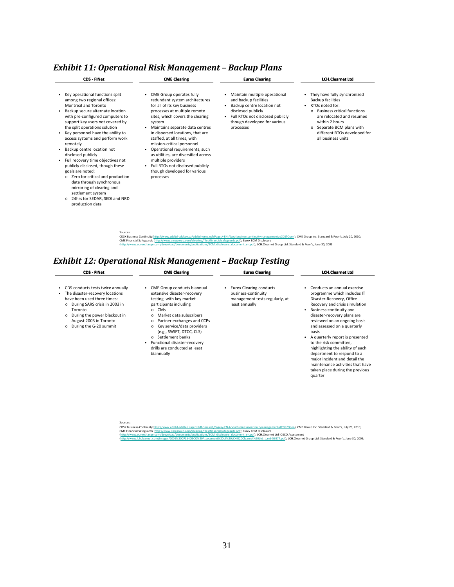### *Exhibit 11: Operational Risk Management – Backup Plans*

| <b>CDS - FINet</b>                                                                                                                                                                                                                                                                                                                                                                                                                                                                                                                                                                                                                                             | <b>CME Clearing</b>                                                                                                                                                                                                                                                                                                                                                                                                                                                                                    | <b>Eurex Clearing</b>                                                                                                                                                                       | <b>LCH.Clearnet Ltd</b>                                                                                                                                                                                                                                                    |
|----------------------------------------------------------------------------------------------------------------------------------------------------------------------------------------------------------------------------------------------------------------------------------------------------------------------------------------------------------------------------------------------------------------------------------------------------------------------------------------------------------------------------------------------------------------------------------------------------------------------------------------------------------------|--------------------------------------------------------------------------------------------------------------------------------------------------------------------------------------------------------------------------------------------------------------------------------------------------------------------------------------------------------------------------------------------------------------------------------------------------------------------------------------------------------|---------------------------------------------------------------------------------------------------------------------------------------------------------------------------------------------|----------------------------------------------------------------------------------------------------------------------------------------------------------------------------------------------------------------------------------------------------------------------------|
| Key operational functions split<br>among two regional offices:<br>Montreal and Toronto<br>Backup secure alternate location<br>with pre-configured computers to<br>support key users not covered by<br>the split operations solution<br>Key personnel have the ability to<br>access systems and perform work<br>remotely<br>Backup centre location not<br>disclosed publicly<br>• Full recovery time objectives not<br>publicly disclosed, though these<br>goals are noted:<br>o Zero for critical and production<br>data through synchronous<br>mirroring of clearing and<br>settlement system<br>24hrs for SEDAR, SEDI and NRD<br>$\Omega$<br>production data | CME Group operates fully<br>redundant system architectures<br>for all of its key business<br>processes at multiple remote<br>sites, which covers the clearing<br>system<br>Maintains separate data centres<br>in dispersed locations, that are<br>staffed, at all times, with<br>mission-critical personnel<br>Operational requirements, such<br>٠<br>as utilities, are diversified across<br>multiple providers<br>Full RTOs not disclosed publicly<br>٠<br>though developed for various<br>processes | Maintain multiple operational<br>and backup facilities<br>Backup centre location not<br>disclosed publicly<br>Full RTOs not disclosed publicly<br>though developed for various<br>processes | They have fully synchronized<br>٠<br>Backup facilities<br>RTOs noted for:<br>$\bullet$<br><b>Business critical functions</b><br>$\Omega$<br>are relocated and resumed<br>within 2 hours<br>○ Separate BCM plans with<br>different RTOs developed for<br>all business units |

Sources:<br>CDSX Business Continuity(http://www.cdsltd-cdsltee.ca/cdsltdhome.nsf/Pages/-EN-AboutbusinesscontinuitymanagementatCDS?Open); CME Group Inc. Standard & Poor's, July 20, 2010;<br>CME Financial Safeguards (http://www.cm

*Exhibit 12: Operational Risk Management – Backup Testing*

| <b>CDS - FINet</b>                                                                                                                                                                                                                                                    | <b>CME Clearing</b>                                                                                                                                                                                                                                                                                                                                                                                                                                                                                                                                                                                            | <b>Eurex Clearing</b>                                                                                | <b>LCH.Clearnet Ltd</b>                                                                                                                                                                                                                                                                                                                                                                                                                                                                                                 |
|-----------------------------------------------------------------------------------------------------------------------------------------------------------------------------------------------------------------------------------------------------------------------|----------------------------------------------------------------------------------------------------------------------------------------------------------------------------------------------------------------------------------------------------------------------------------------------------------------------------------------------------------------------------------------------------------------------------------------------------------------------------------------------------------------------------------------------------------------------------------------------------------------|------------------------------------------------------------------------------------------------------|-------------------------------------------------------------------------------------------------------------------------------------------------------------------------------------------------------------------------------------------------------------------------------------------------------------------------------------------------------------------------------------------------------------------------------------------------------------------------------------------------------------------------|
| CDS conducts tests twice annually<br>٠<br>The disaster-recovery locations<br>٠<br>have been used three times:<br>o During SARS crisis in 2003 in<br>Toronto<br>During the power blackout in<br>$\circ$<br>August 2003 in Toronto<br>During the G-20 summit<br>$\circ$ | CME Group conducts biannual<br>extensive disaster-recovery<br>testing with key market<br>participants including<br>$O$ CMs<br>Market data subscribers<br>$\Omega$<br>Partner exchanges and CCPs<br>$\circ$<br>Key service/data providers<br>$\circ$<br>(e.g., SWIFT, DTCC, CLS)<br>o Settlement banks<br>Functional disaster-recovery<br>٠<br>drills are conducted at least<br>biannually                                                                                                                                                                                                                      | • Eurex Clearing conducts<br>business-continuity<br>management tests regularly, at<br>least annually | Conducts an annual exercise<br>٠<br>programme which includes IT<br>Disaster-Recovery, Office<br>Recovery and crisis simulation<br>Business-continuity and<br>٠<br>disaster-recovery plans are<br>reviewed on an ongoing basis<br>and assessed on a quarterly<br>hasis<br>A quarterly report is presented<br>to the risk committee.<br>highlighting the ability of each<br>department to respond to a<br>major incident and detail the<br>maintenance activities that have<br>taken place during the previous<br>quarter |
| Sources:                                                                                                                                                                                                                                                              | CDSX Business-Continuity(http://www.cdsltd-cdsltee.ca/cdsltdhome.nsf/Pages/-EN-AboutbusinesscontinuitymanagementatCDS?Open); CME Group Inc. Standard & Poor's, July 20, 2010;<br>CME Financial Safeguards (http://www.cmegroup.com/clearing/files/financialsafeguards.pdf): Eurex BCM Disclosure<br>(http://www.eurexchange.com/download/documents/publications/BCM disclosure document en.pdf); LCH.Clearnet Ltd IOSCO Assessment<br>(http://www.lchclearnet.com/Images/2009%20CPSS-IOSCO%20Assessment%20of%20LCH%20Clearnet%20Ltd tcm6-53977.pdf); LCH.Clearnet Group Ltd. Standard & Poor's, June 30, 2009; |                                                                                                      |                                                                                                                                                                                                                                                                                                                                                                                                                                                                                                                         |

31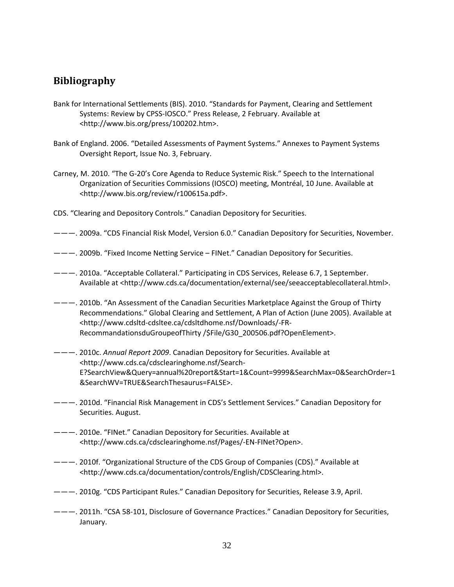## **Bibliography**

- Bank for International Settlements (BIS). 2010. "Standards for Payment, Clearing and Settlement Systems: Review by CPSS‐IOSCO." Press Release, 2 February. Available at <http://www.bis.org/press/100202.htm>.
- Bank of England. 2006. "Detailed Assessments of Payment Systems." Annexes to Payment Systems Oversight Report, Issue No. 3, February.
- Carney, M. 2010. "The G‐20's Core Agenda to Reduce Systemic Risk." Speech to the International Organization of Securities Commissions (IOSCO) meeting, Montréal, 10 June. Available at <http://www.bis.org/review/r100615a.pdf>.
- CDS. "Clearing and Depository Controls." Canadian Depository for Securities.
- ———. 2009a. "CDS Financial Risk Model, Version 6.0." Canadian Depository for Securities, November.
- ———. 2009b. "Fixed Income Netting Service FINet." Canadian Depository for Securities.
- ———. 2010a. "Acceptable Collateral." Participating in CDS Services, Release 6.7, 1 September. Available at <http://www.cds.ca/documentation/external/see/seeacceptablecollateral.html>.
- ———. 2010b. "An Assessment of the Canadian Securities Marketplace Against the Group of Thirty Recommendations." Global Clearing and Settlement, A Plan of Action (June 2005). Available at <http://www.cdsltd‐cdsltee.ca/cdsltdhome.nsf/Downloads/‐FR‐ RecommandationsduGroupeofThirty /\$File/G30\_200506.pdf?OpenElement>.
- ———. 2010c. *Annual Report 2009*. Canadian Depository for Securities. Available at <http://www.cds.ca/cdsclearinghome.nsf/Search‐ E?SearchView&Query=annual%20report&Start=1&Count=9999&SearchMax=0&SearchOrder=1 &SearchWV=TRUE&SearchThesaurus=FALSE>.
- ———. 2010d. "Financial Risk Management in CDS's Settlement Services." Canadian Depository for Securities. August.
- ———. 2010e. "FINet." Canadian Depository for Securities. Available at <http://www.cds.ca/cdsclearinghome.nsf/Pages/‐EN‐FINet?Open>.
- ———. 2010f. "Organizational Structure of the CDS Group of Companies (CDS)." Available at <http://www.cds.ca/documentation/controls/English/CDSClearing.html>.
- ———. 2010g. "CDS Participant Rules." Canadian Depository for Securities, Release 3.9, April.
- ———. 2011h. "CSA 58‐101, Disclosure of Governance Practices." Canadian Depository for Securities, January.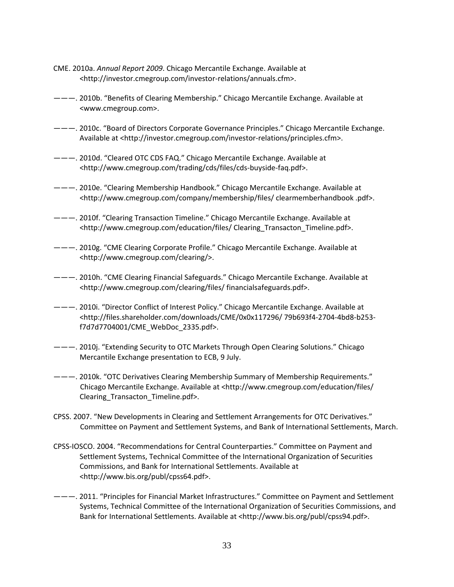- CME. 2010a. *Annual Report 2009*. Chicago Mercantile Exchange. Available at <http://investor.cmegroup.com/investor‐relations/annuals.cfm>.
- ———. 2010b. "Benefits of Clearing Membership." Chicago Mercantile Exchange. Available at <www.cmegroup.com>.
- ———. 2010c. "Board of Directors Corporate Governance Principles." Chicago Mercantile Exchange. Available at <http://investor.cmegroup.com/investor‐relations/principles.cfm>.
- ———. 2010d. "Cleared OTC CDS FAQ." Chicago Mercantile Exchange. Available at <http://www.cmegroup.com/trading/cds/files/cds‐buyside‐faq.pdf>.
- ———. 2010e. "Clearing Membership Handbook." Chicago Mercantile Exchange. Available at <http://www.cmegroup.com/company/membership/files/ clearmemberhandbook .pdf>.
- ———. 2010f. "Clearing Transaction Timeline." Chicago Mercantile Exchange. Available at <http://www.cmegroup.com/education/files/ Clearing\_Transacton\_Timeline.pdf>.
- ———. 2010g. "CME Clearing Corporate Profile." Chicago Mercantile Exchange. Available at <http://www.cmegroup.com/clearing/>.
- ———. 2010h. "CME Clearing Financial Safeguards." Chicago Mercantile Exchange. Available at <http://www.cmegroup.com/clearing/files/ financialsafeguards.pdf>.
- ———. 2010i. "Director Conflict of Interest Policy." Chicago Mercantile Exchange. Available at <http://files.shareholder.com/downloads/CME/0x0x117296/ 79b693f4‐2704‐4bd8‐b253‐ f7d7d7704001/CME\_WebDoc\_2335.pdf>.
- ———. 2010j. "Extending Security to OTC Markets Through Open Clearing Solutions." Chicago Mercantile Exchange presentation to ECB, 9 July.
- ———. 2010k. "OTC Derivatives Clearing Membership Summary of Membership Requirements." Chicago Mercantile Exchange. Available at <http://www.cmegroup.com/education/files/ Clearing\_Transacton\_Timeline.pdf>.
- CPSS. 2007. "New Developments in Clearing and Settlement Arrangements for OTC Derivatives." Committee on Payment and Settlement Systems, and Bank of International Settlements, March.
- CPSS‐IOSCO. 2004. "Recommendations for Central Counterparties." Committee on Payment and Settlement Systems, Technical Committee of the International Organization of Securities Commissions, and Bank for International Settlements. Available at <http://www.bis.org/publ/cpss64.pdf>.
- ———. 2011. "Principles for Financial Market Infrastructures." Committee on Payment and Settlement Systems, Technical Committee of the International Organization of Securities Commissions, and Bank for International Settlements. Available at <http://www.bis.org/publ/cpss94.pdf>.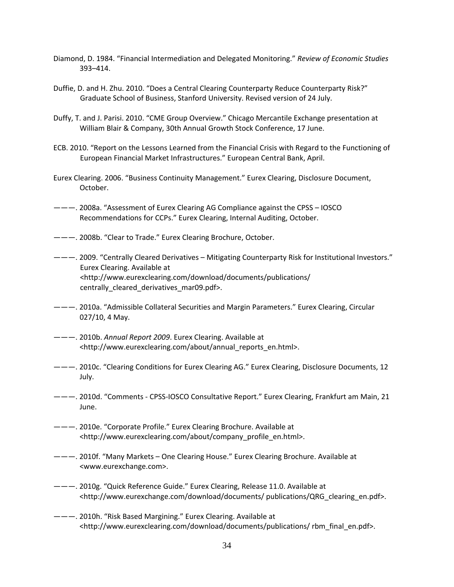- Diamond, D. 1984. "Financial Intermediation and Delegated Monitoring." *Review of Economic Studies* 393–414.
- Duffie, D. and H. Zhu. 2010. "Does a Central Clearing Counterparty Reduce Counterparty Risk?" Graduate School of Business, Stanford University. Revised version of 24 July.
- Duffy, T. and J. Parisi. 2010. "CME Group Overview." Chicago Mercantile Exchange presentation at William Blair & Company, 30th Annual Growth Stock Conference, 17 June.
- ECB. 2010. "Report on the Lessons Learned from the Financial Crisis with Regard to the Functioning of European Financial Market Infrastructures." European Central Bank, April.
- Eurex Clearing. 2006. "Business Continuity Management." Eurex Clearing, Disclosure Document, October.
- ———. 2008a. "Assessment of Eurex Clearing AG Compliance against the CPSS IOSCO Recommendations for CCPs." Eurex Clearing, Internal Auditing, October.
- ———. 2008b. "Clear to Trade." Eurex Clearing Brochure, October.
- ———. 2009. "Centrally Cleared Derivatives Mitigating Counterparty Risk for Institutional Investors." Eurex Clearing. Available at <http://www.eurexclearing.com/download/documents/publications/ centrally\_cleared\_derivatives\_mar09.pdf>.
- ———. 2010a. "Admissible Collateral Securities and Margin Parameters." Eurex Clearing, Circular 027/10, 4 May.
- ———. 2010b. *Annual Report 2009*. Eurex Clearing. Available at <http://www.eurexclearing.com/about/annual\_reports\_en.html>.
- ———. 2010c. "Clearing Conditions for Eurex Clearing AG." Eurex Clearing, Disclosure Documents, 12 July.
- ———. 2010d. "Comments ‐ CPSS‐IOSCO Consultative Report." Eurex Clearing, Frankfurt am Main, 21 June.
- ———. 2010e. "Corporate Profile." Eurex Clearing Brochure. Available at <http://www.eurexclearing.com/about/company\_profile\_en.html>.
- ———. 2010f. "Many Markets One Clearing House." Eurex Clearing Brochure. Available at <www.eurexchange.com>.
- ———. 2010g. "Quick Reference Guide." Eurex Clearing, Release 11.0. Available at <http://www.eurexchange.com/download/documents/ publications/QRG\_clearing\_en.pdf>.
- ———. 2010h. "Risk Based Margining." Eurex Clearing. Available at <http://www.eurexclearing.com/download/documents/publications/ rbm\_final\_en.pdf>.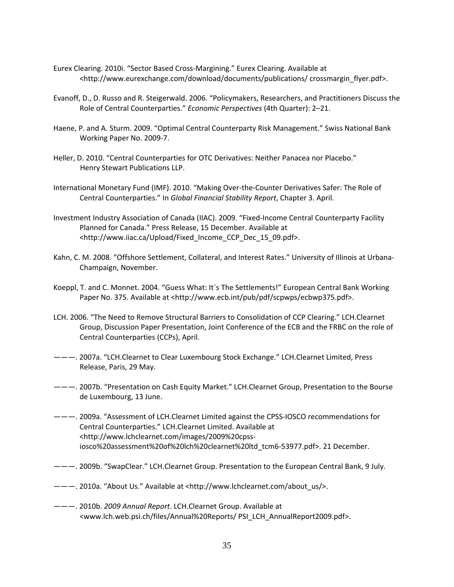- Eurex Clearing. 2010i. "Sector Based Cross‐Margining." Eurex Clearing. Available at <http://www.eurexchange.com/download/documents/publications/ crossmargin\_flyer.pdf>.
- Evanoff, D., D. Russo and R. Steigerwald. 2006. "Policymakers, Researchers, and Practitioners Discuss the Role of Central Counterparties." *Economic Perspectives* (4th Quarter): 2–21.
- Haene, P. and A. Sturm. 2009. "Optimal Central Counterparty Risk Management." Swiss National Bank Working Paper No. 2009‐7.
- Heller, D. 2010. "Central Counterparties for OTC Derivatives: Neither Panacea nor Placebo." Henry Stewart Publications LLP.
- International Monetary Fund (IMF). 2010. "Making Over‐the‐Counter Derivatives Safer: The Role of Central Counterparties." In *Global Financial Stability Report*, Chapter 3. April.
- Investment Industry Association of Canada (IIAC). 2009. "Fixed‐Income Central Counterparty Facility Planned for Canada." Press Release, 15 December. Available at <http://www.iiac.ca/Upload/Fixed\_Income\_CCP\_Dec\_15\_09.pdf>.
- Kahn, C. M. 2008. "Offshore Settlement, Collateral, and Interest Rates." University of Illinois at Urbana‐ Champaign, November.
- Koeppl, T. and C. Monnet. 2004. "Guess What: It´s The Settlements!" European Central Bank Working Paper No. 375. Available at <http://www.ecb.int/pub/pdf/scpwps/ecbwp375.pdf>.
- LCH. 2006. "The Need to Remove Structural Barriers to Consolidation of CCP Clearing." LCH.Clearnet Group, Discussion Paper Presentation, Joint Conference of the ECB and the FRBC on the role of Central Counterparties (CCPs), April.
- ———. 2007a. "LCH.Clearnet to Clear Luxembourg Stock Exchange." LCH.Clearnet Limited, Press Release, Paris, 29 May.
- ———. 2007b. "Presentation on Cash Equity Market." LCH.Clearnet Group, Presentation to the Bourse de Luxembourg, 13 June.
- ———. 2009a. "Assessment of LCH.Clearnet Limited against the CPSS‐IOSCO recommendations for Central Counterparties." LCH.Clearnet Limited. Available at <http://www.lchclearnet.com/images/2009%20cpss‐ iosco%20assessment%20of%20lch%20clearnet%20ltd\_tcm6‐53977.pdf>. 21 December.
- ———. 2009b. "SwapClear." LCH.Clearnet Group. Presentation to the European Central Bank, 9 July.
- ———. 2010a. "About Us." Available at <http://www.lchclearnet.com/about\_us/>.
- ———. 2010b. *2009 Annual Report*. LCH.Clearnet Group. Available at <www.lch.web.psi.ch/files/Annual%20Reports/ PSI\_LCH\_AnnualReport2009.pdf>.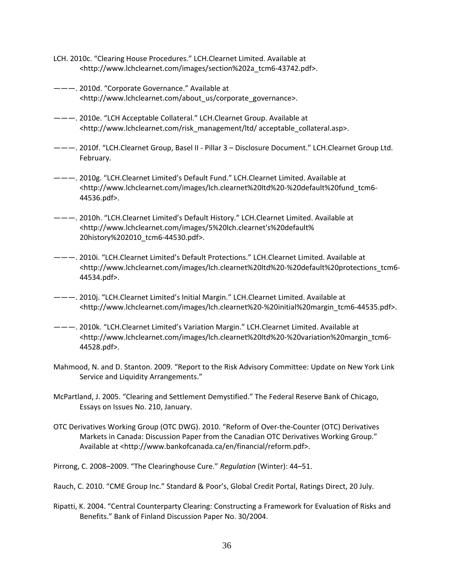- LCH. 2010c. "Clearing House Procedures." LCH.Clearnet Limited. Available at <http://www.lchclearnet.com/images/section%202a\_tcm6‐43742.pdf>.
- ———. 2010d. "Corporate Governance." Available at <http://www.lchclearnet.com/about\_us/corporate\_governance>.
- ———. 2010e. "LCH Acceptable Collateral." LCH.Clearnet Group. Available at <http://www.lchclearnet.com/risk\_management/ltd/ acceptable\_collateral.asp>.
- ———. 2010f. "LCH.Clearnet Group, Basel II ‐ Pillar 3 Disclosure Document." LCH.Clearnet Group Ltd. February.
- ———. 2010g. "LCH.Clearnet Limited's Default Fund." LCH.Clearnet Limited. Available at <http://www.lchclearnet.com/images/lch.clearnet%20ltd%20‐%20default%20fund\_tcm6‐ 44536.pdf>.
- ———. 2010h. "LCH.Clearnet Limited's Default History." LCH.Clearnet Limited. Available at <http://www.lchclearnet.com/images/5%20lch.clearnet's%20default% 20history%202010\_tcm6‐44530.pdf>.
- ———. 2010i. "LCH.Clearnet Limited's Default Protections." LCH.Clearnet Limited. Available at <http://www.lchclearnet.com/images/lch.clearnet%20ltd%20‐%20default%20protections\_tcm6‐ 44534.pdf>.
- ———. 2010j. "LCH.Clearnet Limited's Initial Margin." LCH.Clearnet Limited. Available at <http://www.lchclearnet.com/images/lch.clearnet%20‐%20initial%20margin\_tcm6‐44535.pdf>.
- ———. 2010k. "LCH.Clearnet Limited's Variation Margin." LCH.Clearnet Limited. Available at <http://www.lchclearnet.com/images/lch.clearnet%20ltd%20‐%20variation%20margin\_tcm6‐ 44528.pdf>.
- Mahmood, N. and D. Stanton. 2009. "Report to the Risk Advisory Committee: Update on New York Link Service and Liquidity Arrangements."
- McPartland, J. 2005. "Clearing and Settlement Demystified." The Federal Reserve Bank of Chicago, Essays on Issues No. 210, January.
- OTC Derivatives Working Group (OTC DWG). 2010. "Reform of Over‐the‐Counter (OTC) Derivatives Markets in Canada: Discussion Paper from the Canadian OTC Derivatives Working Group." Available at <http://www.bankofcanada.ca/en/financial/reform.pdf>.

Pirrong, C. 2008–2009. "The Clearinghouse Cure." *Regulation* (Winter): 44–51.

- Rauch, C. 2010. "CME Group Inc." Standard & Poor's, Global Credit Portal, Ratings Direct, 20 July.
- Ripatti, K. 2004. "Central Counterparty Clearing: Constructing a Framework for Evaluation of Risks and Benefits." Bank of Finland Discussion Paper No. 30/2004.